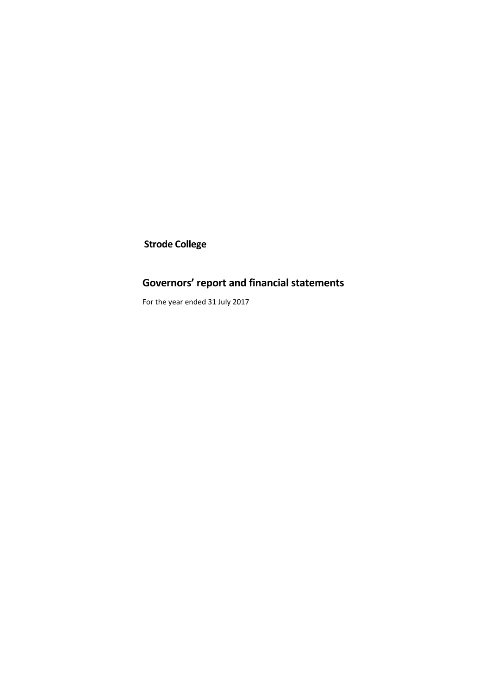**Strode College**

# **Governors' report and financial statements**

For the year ended 31 July 2017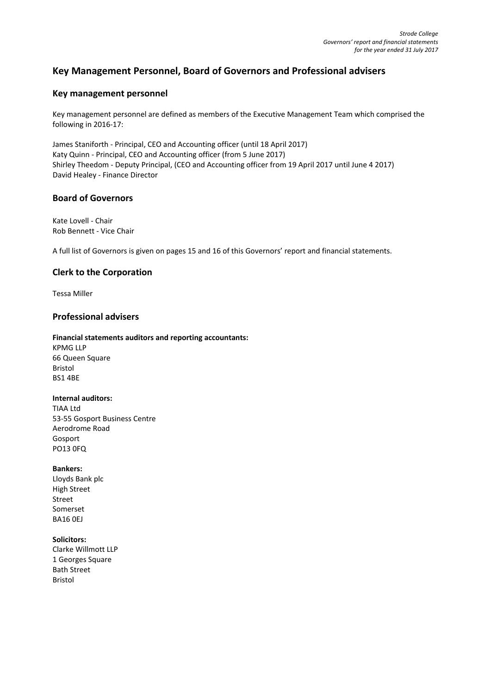# **Key Management Personnel, Board of Governors and Professional advisers**

# **Key management personnel**

Key management personnel are defined as members of the Executive Management Team which comprised the following in 2016-17:

James Staniforth - Principal, CEO and Accounting officer (until 18 April 2017) Katy Quinn - Principal, CEO and Accounting officer (from 5 June 2017) Shirley Theedom - Deputy Principal, (CEO and Accounting officer from 19 April 2017 until June 4 2017) David Healey - Finance Director

# **Board of Governors**

Kate Lovell - Chair Rob Bennett - Vice Chair

A full list of Governors is given on pages 15 and 16 of this Governors' report and financial statements.

# **Clerk to the Corporation**

Tessa Miller

# **Professional advisers**

### **Financial statements auditors and reporting accountants:**

KPMG LLP 66 Queen Square Bristol BS1 4BE

# **Internal auditors:**

TIAA Ltd 53-55 Gosport Business Centre Aerodrome Road Gosport PO13 0FQ

### **Bankers:**

Lloyds Bank plc High Street Street Somerset BA16 0EJ

### **Solicitors:**

Clarke Willmott LLP 1 Georges Square Bath Street Bristol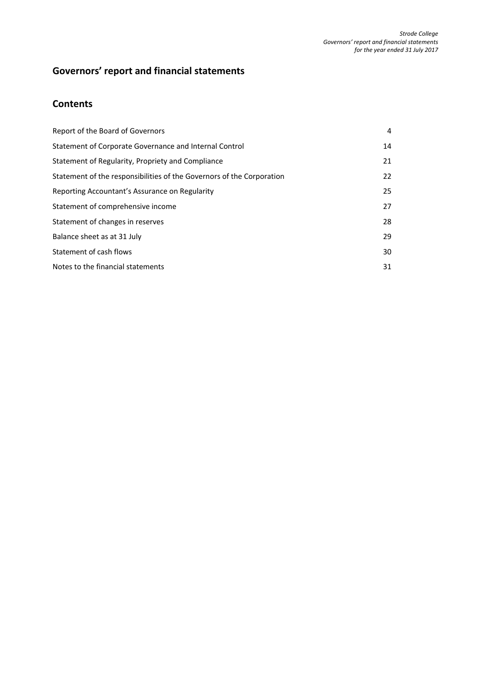# **Governors' report and financial statements**

# **Contents**

| Report of the Board of Governors                                      | 4  |
|-----------------------------------------------------------------------|----|
| Statement of Corporate Governance and Internal Control                | 14 |
| Statement of Regularity, Propriety and Compliance                     | 21 |
| Statement of the responsibilities of the Governors of the Corporation | 22 |
| Reporting Accountant's Assurance on Regularity                        | 25 |
| Statement of comprehensive income                                     | 27 |
| Statement of changes in reserves                                      | 28 |
| Balance sheet as at 31 July                                           | 29 |
| Statement of cash flows                                               | 30 |
| Notes to the financial statements                                     | 31 |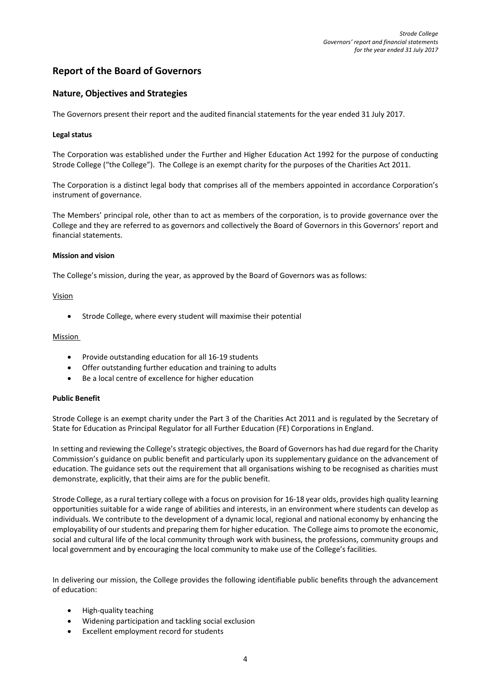# **Report of the Board of Governors**

# **Nature, Objectives and Strategies**

The Governors present their report and the audited financial statements for the year ended 31 July 2017.

### **Legal status**

The Corporation was established under the Further and Higher Education Act 1992 for the purpose of conducting Strode College ("the College"). The College is an exempt charity for the purposes of the Charities Act 2011.

The Corporation is a distinct legal body that comprises all of the members appointed in accordance Corporation's instrument of governance.

The Members' principal role, other than to act as members of the corporation, is to provide governance over the College and they are referred to as governors and collectively the Board of Governors in this Governors' report and financial statements.

### **Mission and vision**

The College's mission, during the year, as approved by the Board of Governors was as follows:

### Vision

• Strode College, where every student will maximise their potential

### Mission

- Provide outstanding education for all 16-19 students
- Offer outstanding further education and training to adults
- Be a local centre of excellence for higher education

### **Public Benefit**

Strode College is an exempt charity under the Part 3 of the Charities Act 2011 and is regulated by the Secretary of State for Education as Principal Regulator for all Further Education (FE) Corporations in England.

In setting and reviewing the College's strategic objectives, the Board of Governors has had due regard for the Charity Commission's guidance on public benefit and particularly upon its supplementary guidance on the advancement of education. The guidance sets out the requirement that all organisations wishing to be recognised as charities must demonstrate, explicitly, that their aims are for the public benefit.

Strode College, as a rural tertiary college with a focus on provision for 16-18 year olds, provides high quality learning opportunities suitable for a wide range of abilities and interests, in an environment where students can develop as individuals. We contribute to the development of a dynamic local, regional and national economy by enhancing the employability of our students and preparing them for higher education. The College aims to promote the economic, social and cultural life of the local community through work with business, the professions, community groups and local government and by encouraging the local community to make use of the College's facilities.

In delivering our mission, the College provides the following identifiable public benefits through the advancement of education:

- High-quality teaching
- Widening participation and tackling social exclusion
- Excellent employment record for students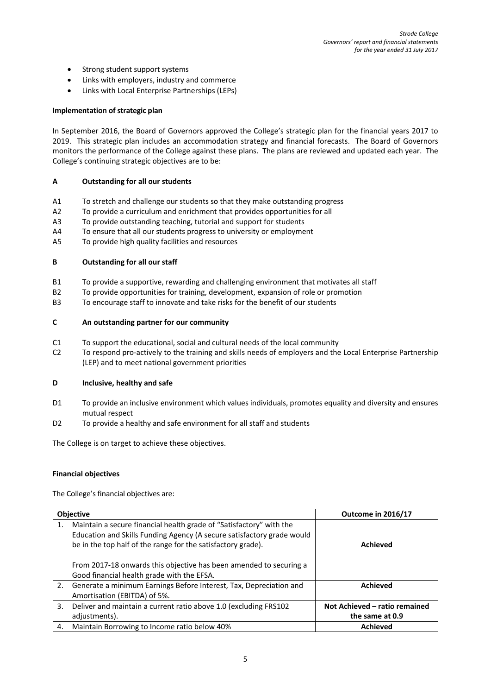- Strong student support systems
- Links with employers, industry and commerce
- Links with Local Enterprise Partnerships (LEPs)

### **Implementation of strategic plan**

In September 2016, the Board of Governors approved the College's strategic plan for the financial years 2017 to 2019. This strategic plan includes an accommodation strategy and financial forecasts. The Board of Governors monitors the performance of the College against these plans. The plans are reviewed and updated each year. The College's continuing strategic objectives are to be:

# **A Outstanding for all our students**

- A1 To stretch and challenge our students so that they make outstanding progress
- A2 To provide a curriculum and enrichment that provides opportunities for all
- A3 To provide outstanding teaching, tutorial and support for students
- A4 To ensure that all our students progress to university or employment
- A5 To provide high quality facilities and resources

### **B Outstanding for all our staff**

- B1 To provide a supportive, rewarding and challenging environment that motivates all staff
- B2 To provide opportunities for training, development, expansion of role or promotion
- B3 To encourage staff to innovate and take risks for the benefit of our students

### **C An outstanding partner for our community**

- C1 To support the educational, social and cultural needs of the local community
- C2 To respond pro-actively to the training and skills needs of employers and the Local Enterprise Partnership (LEP) and to meet national government priorities

### **D Inclusive, healthy and safe**

- D1 To provide an inclusive environment which values individuals, promotes equality and diversity and ensures mutual respect
- D2 To provide a healthy and safe environment for all staff and students

The College is on target to achieve these objectives.

### **Financial objectives**

The College's financial objectives are:

|    | <b>Objective</b>                                                                                                                                                                                              | Outcome in 2016/17                               |
|----|---------------------------------------------------------------------------------------------------------------------------------------------------------------------------------------------------------------|--------------------------------------------------|
| 1. | Maintain a secure financial health grade of "Satisfactory" with the<br>Education and Skills Funding Agency (A secure satisfactory grade would<br>be in the top half of the range for the satisfactory grade). | <b>Achieved</b>                                  |
|    | From 2017-18 onwards this objective has been amended to securing a<br>Good financial health grade with the EFSA.                                                                                              |                                                  |
| 2. | Generate a minimum Earnings Before Interest, Tax, Depreciation and<br>Amortisation (EBITDA) of 5%.                                                                                                            | <b>Achieved</b>                                  |
| 3. | Deliver and maintain a current ratio above 1.0 (excluding FRS102<br>adjustments).                                                                                                                             | Not Achieved - ratio remained<br>the same at 0.9 |
| 4. | Maintain Borrowing to Income ratio below 40%                                                                                                                                                                  | <b>Achieved</b>                                  |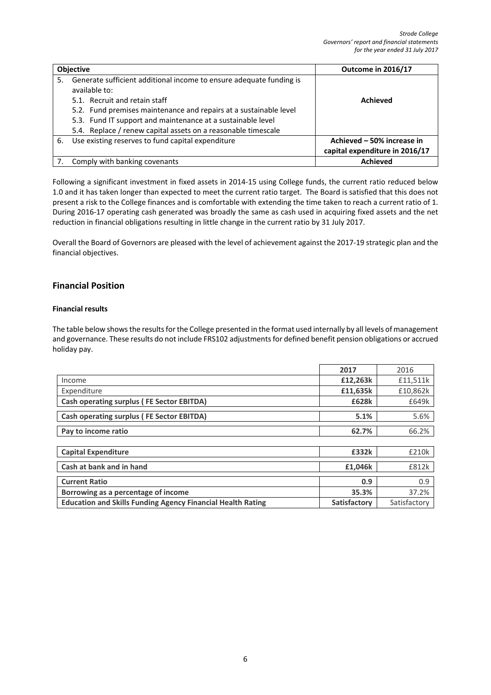|    | <b>Objective</b>                                                                                                                                                                                                                                                                                                           | Outcome in 2016/17                                           |
|----|----------------------------------------------------------------------------------------------------------------------------------------------------------------------------------------------------------------------------------------------------------------------------------------------------------------------------|--------------------------------------------------------------|
| 5. | Generate sufficient additional income to ensure adequate funding is<br>available to:<br>5.1. Recruit and retain staff<br>5.2. Fund premises maintenance and repairs at a sustainable level<br>5.3. Fund IT support and maintenance at a sustainable level<br>5.4. Replace / renew capital assets on a reasonable timescale | <b>Achieved</b>                                              |
| 6. | Use existing reserves to fund capital expenditure                                                                                                                                                                                                                                                                          | Achieved - 50% increase in<br>capital expenditure in 2016/17 |
|    | Comply with banking covenants                                                                                                                                                                                                                                                                                              | <b>Achieved</b>                                              |

Following a significant investment in fixed assets in 2014-15 using College funds, the current ratio reduced below 1.0 and it has taken longer than expected to meet the current ratio target. The Board is satisfied that this does not present a risk to the College finances and is comfortable with extending the time taken to reach a current ratio of 1. During 2016-17 operating cash generated was broadly the same as cash used in acquiring fixed assets and the net reduction in financial obligations resulting in little change in the current ratio by 31 July 2017.

Overall the Board of Governors are pleased with the level of achievement against the 2017-19 strategic plan and the financial objectives.

# **Financial Position**

# **Financial results**

The table below shows the results for the College presented in the format used internally by all levels of management and governance. These results do not include FRS102 adjustments for defined benefit pension obligations or accrued holiday pay.

|                                                                    | 2017         | 2016         |
|--------------------------------------------------------------------|--------------|--------------|
| Income                                                             | £12,263k     | £11,511k     |
| Expenditure                                                        | £11,635k     | £10,862k     |
| Cash operating surplus (FE Sector EBITDA)                          | £628k        | £649k        |
| <b>Cash operating surplus (FE Sector EBITDA)</b>                   | 5.1%         | 5.6%         |
| Pay to income ratio                                                | 62.7%        | 66.2%        |
|                                                                    |              |              |
| <b>Capital Expenditure</b>                                         | £332k        | £210k        |
| Cash at bank and in hand                                           | £1,046k      | £812k        |
| <b>Current Ratio</b>                                               | 0.9          | 0.9          |
| Borrowing as a percentage of income                                | 35.3%        | 37.2%        |
| <b>Education and Skills Funding Agency Financial Health Rating</b> | Satisfactory | Satisfactory |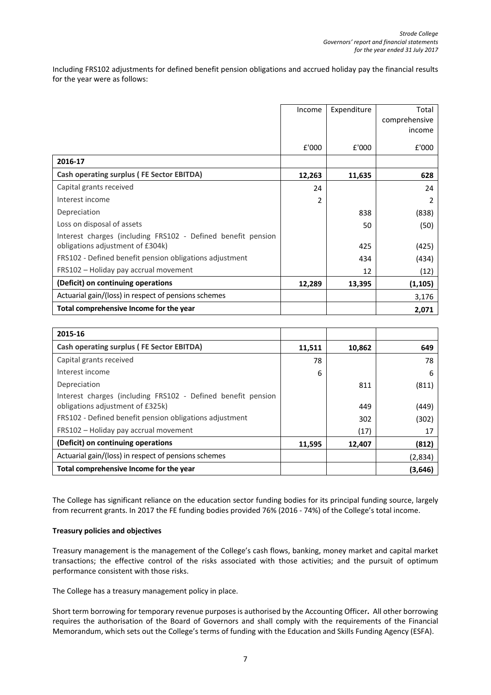Including FRS102 adjustments for defined benefit pension obligations and accrued holiday pay the financial results for the year were as follows:

|                                                              | Income | Expenditure | Total         |
|--------------------------------------------------------------|--------|-------------|---------------|
|                                                              |        |             | comprehensive |
|                                                              |        |             | income        |
|                                                              | £'000  | £'000       | £'000         |
| 2016-17                                                      |        |             |               |
| <b>Cash operating surplus (FE Sector EBITDA)</b>             | 12,263 | 11,635      | 628           |
| Capital grants received                                      | 24     |             | 24            |
| Interest income                                              | 2      |             | 2             |
| Depreciation                                                 |        | 838         | (838)         |
| Loss on disposal of assets                                   |        | 50          | (50)          |
| Interest charges (including FRS102 - Defined benefit pension |        |             |               |
| obligations adjustment of £304k)                             |        | 425         | (425)         |
| FRS102 - Defined benefit pension obligations adjustment      |        | 434         | (434)         |
| FRS102 - Holiday pay accrual movement                        |        | 12          | (12)          |
| (Deficit) on continuing operations                           | 12,289 | 13,395      | (1, 105)      |
| Actuarial gain/(loss) in respect of pensions schemes         |        |             | 3,176         |
| Total comprehensive Income for the year                      |        |             | 2,071         |

| 2015-16                                                                                          |        |        |         |
|--------------------------------------------------------------------------------------------------|--------|--------|---------|
| <b>Cash operating surplus (FE Sector EBITDA)</b>                                                 | 11,511 | 10,862 | 649     |
| Capital grants received                                                                          | 78     |        | 78      |
| Interest income                                                                                  | 6      |        | 6       |
| Depreciation                                                                                     |        | 811    | (811)   |
| Interest charges (including FRS102 - Defined benefit pension<br>obligations adjustment of £325k) |        | 449    | (449)   |
| FRS102 - Defined benefit pension obligations adjustment                                          |        | 302    | (302)   |
| FRS102 - Holiday pay accrual movement                                                            |        | (17)   | 17      |
| (Deficit) on continuing operations                                                               | 11,595 | 12,407 | (812)   |
| Actuarial gain/(loss) in respect of pensions schemes                                             |        |        | (2,834) |
| Total comprehensive Income for the year                                                          |        |        | (3,646) |

The College has significant reliance on the education sector funding bodies for its principal funding source, largely from recurrent grants. In 2017 the FE funding bodies provided 76% (2016 - 74%) of the College's total income.

### **Treasury policies and objectives**

Treasury management is the management of the College's cash flows, banking, money market and capital market transactions; the effective control of the risks associated with those activities; and the pursuit of optimum performance consistent with those risks.

The College has a treasury management policy in place.

Short term borrowing for temporary revenue purposes is authorised by the Accounting Officer**.** All other borrowing requires the authorisation of the Board of Governors and shall comply with the requirements of the Financial Memorandum, which sets out the College's terms of funding with the Education and Skills Funding Agency (ESFA).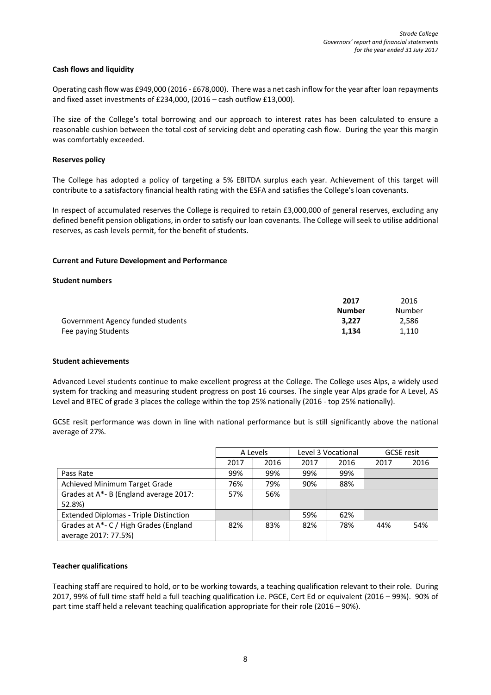### **Cash flows and liquidity**

Operating cash flow was £949,000 (2016 - £678,000). There was a net cash inflow for the year after loan repayments and fixed asset investments of £234,000, (2016 – cash outflow £13,000).

The size of the College's total borrowing and our approach to interest rates has been calculated to ensure a reasonable cushion between the total cost of servicing debt and operating cash flow. During the year this margin was comfortably exceeded.

### **Reserves policy**

The College has adopted a policy of targeting a 5% EBITDA surplus each year. Achievement of this target will contribute to a satisfactory financial health rating with the ESFA and satisfies the College's loan covenants.

In respect of accumulated reserves the College is required to retain £3,000,000 of general reserves, excluding any defined benefit pension obligations, in order to satisfy our loan covenants. The College will seek to utilise additional reserves, as cash levels permit, for the benefit of students.

### **Current and Future Development and Performance**

### **Student numbers**

|                                   | 2017   | 2016   |  |
|-----------------------------------|--------|--------|--|
|                                   | Number | Number |  |
| Government Agency funded students | 3.227  | 2,586  |  |
| Fee paying Students               | 1.134  | 1.110  |  |

### **Student achievements**

Advanced Level students continue to make excellent progress at the College. The College uses Alps, a widely used system for tracking and measuring student progress on post 16 courses. The single year Alps grade for A Level, AS Level and BTEC of grade 3 places the college within the top 25% nationally (2016 - top 25% nationally).

GCSE resit performance was down in line with national performance but is still significantly above the national average of 27%.

|                                               | A Levels |      | Level 3 Vocational |      |      | <b>GCSE</b> resit |
|-----------------------------------------------|----------|------|--------------------|------|------|-------------------|
|                                               | 2017     | 2016 | 2017               | 2016 | 2017 | 2016              |
| Pass Rate                                     | 99%      | 99%  | 99%                | 99%  |      |                   |
| Achieved Minimum Target Grade                 | 76%      | 79%  | 90%                | 88%  |      |                   |
| Grades at A*- B (England average 2017:        | 57%      | 56%  |                    |      |      |                   |
| 52.8%)                                        |          |      |                    |      |      |                   |
| <b>Extended Diplomas - Triple Distinction</b> |          |      | 59%                | 62%  |      |                   |
| Grades at A*- C / High Grades (England        | 82%      | 83%  | 82%                | 78%  | 44%  | 54%               |
| average 2017: 77.5%)                          |          |      |                    |      |      |                   |

### **Teacher qualifications**

Teaching staff are required to hold, or to be working towards, a teaching qualification relevant to their role. During 2017, 99% of full time staff held a full teaching qualification i.e. PGCE, Cert Ed or equivalent (2016 – 99%). 90% of part time staff held a relevant teaching qualification appropriate for their role (2016 – 90%).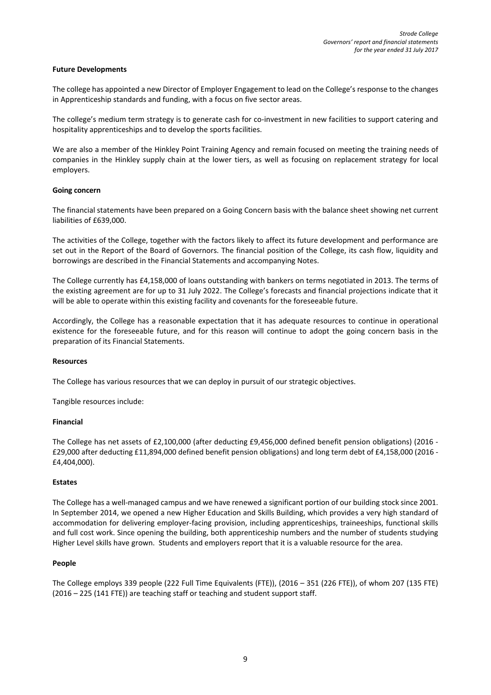### **Future Developments**

The college has appointed a new Director of Employer Engagement to lead on the College's response to the changes in Apprenticeship standards and funding, with a focus on five sector areas.

The college's medium term strategy is to generate cash for co-investment in new facilities to support catering and hospitality apprenticeships and to develop the sports facilities.

We are also a member of the Hinkley Point Training Agency and remain focused on meeting the training needs of companies in the Hinkley supply chain at the lower tiers, as well as focusing on replacement strategy for local employers.

### **Going concern**

The financial statements have been prepared on a Going Concern basis with the balance sheet showing net current liabilities of £639,000.

The activities of the College, together with the factors likely to affect its future development and performance are set out in the Report of the Board of Governors. The financial position of the College, its cash flow, liquidity and borrowings are described in the Financial Statements and accompanying Notes.

The College currently has £4,158,000 of loans outstanding with bankers on terms negotiated in 2013. The terms of the existing agreement are for up to 31 July 2022. The College's forecasts and financial projections indicate that it will be able to operate within this existing facility and covenants for the foreseeable future.

Accordingly, the College has a reasonable expectation that it has adequate resources to continue in operational existence for the foreseeable future, and for this reason will continue to adopt the going concern basis in the preparation of its Financial Statements.

### **Resources**

The College has various resources that we can deploy in pursuit of our strategic objectives.

Tangible resources include:

### **Financial**

The College has net assets of £2,100,000 (after deducting £9,456,000 defined benefit pension obligations) (2016 - £29,000 after deducting £11,894,000 defined benefit pension obligations) and long term debt of £4,158,000 (2016 - £4,404,000).

### **Estates**

The College has a well-managed campus and we have renewed a significant portion of our building stock since 2001. In September 2014, we opened a new Higher Education and Skills Building, which provides a very high standard of accommodation for delivering employer-facing provision, including apprenticeships, traineeships, functional skills and full cost work. Since opening the building, both apprenticeship numbers and the number of students studying Higher Level skills have grown. Students and employers report that it is a valuable resource for the area.

### **People**

The College employs 339 people (222 Full Time Equivalents (FTE)), (2016 – 351 (226 FTE)), of whom 207 (135 FTE) (2016 – 225 (141 FTE)) are teaching staff or teaching and student support staff.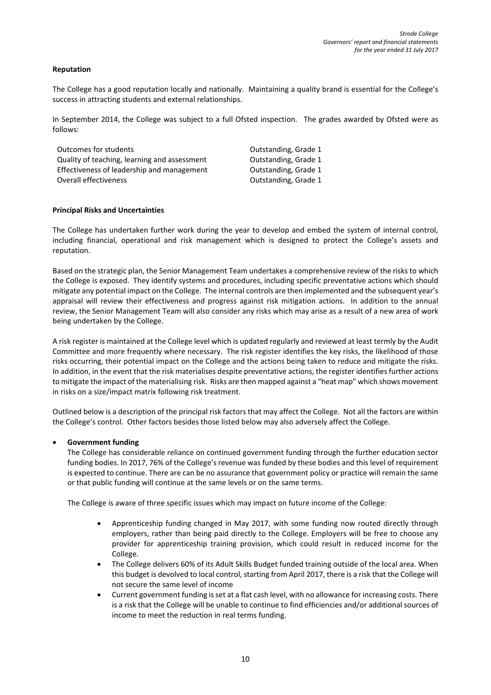### **Reputation**

The College has a good reputation locally and nationally. Maintaining a quality brand is essential for the College's success in attracting students and external relationships.

In September 2014, the College was subject to a full Ofsted inspection. The grades awarded by Ofsted were as follows:

| Outcomes for students                        | Outstanding, Grade 1 |
|----------------------------------------------|----------------------|
| Quality of teaching, learning and assessment | Outstanding, Grade 1 |
| Effectiveness of leadership and management   | Outstanding, Grade 1 |
| Overall effectiveness                        | Outstanding, Grade 1 |

### **Principal Risks and Uncertainties**

The College has undertaken further work during the year to develop and embed the system of internal control, including financial, operational and risk management which is designed to protect the College's assets and reputation.

Based on the strategic plan, the Senior Management Team undertakes a comprehensive review of the risks to which the College is exposed. They identify systems and procedures, including specific preventative actions which should mitigate any potential impact on the College. The internal controls are then implemented and the subsequent year's appraisal will review their effectiveness and progress against risk mitigation actions. In addition to the annual review, the Senior Management Team will also consider any risks which may arise as a result of a new area of work being undertaken by the College.

A risk register is maintained at the College level which is updated regularly and reviewed at least termly by the Audit Committee and more frequently where necessary. The risk register identifies the key risks, the likelihood of those risks occurring, their potential impact on the College and the actions being taken to reduce and mitigate the risks. In addition, in the event that the risk materialises despite preventative actions, the register identifies further actions to mitigate the impact of the materialising risk. Risks are then mapped against a "heat map" which shows movement in risks on a size/impact matrix following risk treatment.

Outlined below is a description of the principal risk factors that may affect the College. Not all the factors are within the College's control. Other factors besides those listed below may also adversely affect the College.

### • **Government funding**

The College has considerable reliance on continued government funding through the further education sector funding bodies. In 2017, 76% of the College's revenue was funded by these bodies and this level of requirement is expected to continue. There are can be no assurance that government policy or practice will remain the same or that public funding will continue at the same levels or on the same terms.

The College is aware of three specific issues which may impact on future income of the College:

- Apprenticeship funding changed in May 2017, with some funding now routed directly through employers, rather than being paid directly to the College. Employers will be free to choose any provider for apprenticeship training provision, which could result in reduced income for the College.
- The College delivers 60% of its Adult Skills Budget funded training outside of the local area. When this budget is devolved to local control, starting from April 2017, there is a risk that the College will not secure the same level of income
- Current government funding is set at a flat cash level, with no allowance for increasing costs. There is a risk that the College will be unable to continue to find efficiencies and/or additional sources of income to meet the reduction in real terms funding.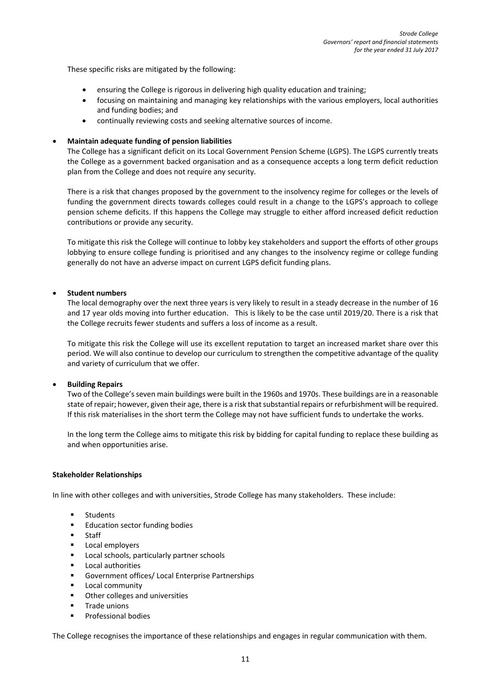These specific risks are mitigated by the following:

- ensuring the College is rigorous in delivering high quality education and training;
- focusing on maintaining and managing key relationships with the various employers, local authorities and funding bodies; and
- continually reviewing costs and seeking alternative sources of income.

### • **Maintain adequate funding of pension liabilities**

The College has a significant deficit on its Local Government Pension Scheme (LGPS). The LGPS currently treats the College as a government backed organisation and as a consequence accepts a long term deficit reduction plan from the College and does not require any security.

There is a risk that changes proposed by the government to the insolvency regime for colleges or the levels of funding the government directs towards colleges could result in a change to the LGPS's approach to college pension scheme deficits. If this happens the College may struggle to either afford increased deficit reduction contributions or provide any security.

To mitigate this risk the College will continue to lobby key stakeholders and support the efforts of other groups lobbying to ensure college funding is prioritised and any changes to the insolvency regime or college funding generally do not have an adverse impact on current LGPS deficit funding plans.

### • **Student numbers**

The local demography over the next three years is very likely to result in a steady decrease in the number of 16 and 17 year olds moving into further education. This is likely to be the case until 2019/20. There is a risk that the College recruits fewer students and suffers a loss of income as a result.

To mitigate this risk the College will use its excellent reputation to target an increased market share over this period. We will also continue to develop our curriculum to strengthen the competitive advantage of the quality and variety of curriculum that we offer.

### • **Building Repairs**

Two of the College's seven main buildings were built in the 1960s and 1970s. These buildings are in a reasonable state of repair; however, given their age, there is a risk that substantial repairs or refurbishment will be required. If this risk materialises in the short term the College may not have sufficient funds to undertake the works.

In the long term the College aims to mitigate this risk by bidding for capital funding to replace these building as and when opportunities arise.

### **Stakeholder Relationships**

In line with other colleges and with universities, Strode College has many stakeholders. These include:

- **Students**
- **Education sector funding bodies**
- **s** Staff
- Local employers
- Local schools, particularly partner schools
- Local authorities
- Government offices/ Local Enterprise Partnerships
- **Local community**
- Other colleges and universities
- Trade unions
- **Professional bodies**

The College recognises the importance of these relationships and engages in regular communication with them.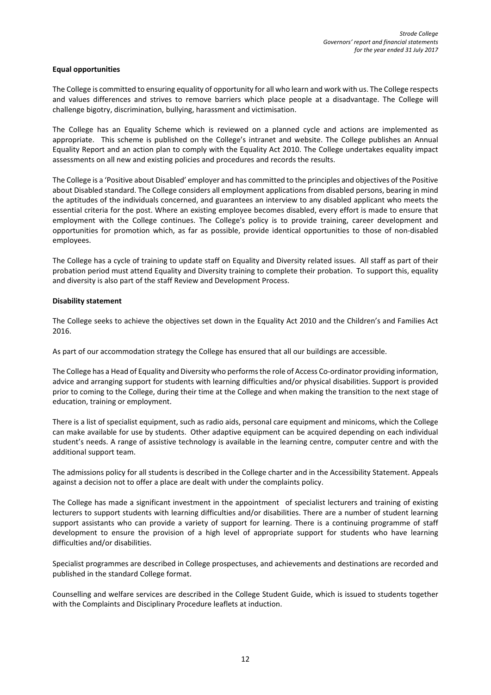### **Equal opportunities**

The College is committed to ensuring equality of opportunity for all who learn and work with us. The College respects and values differences and strives to remove barriers which place people at a disadvantage. The College will challenge bigotry, discrimination, bullying, harassment and victimisation.

The College has an Equality Scheme which is reviewed on a planned cycle and actions are implemented as appropriate. This scheme is published on the College's intranet and website. The College publishes an Annual Equality Report and an action plan to comply with the Equality Act 2010. The College undertakes equality impact assessments on all new and existing policies and procedures and records the results.

The College is a 'Positive about Disabled' employer and has committed to the principles and objectives of the Positive about Disabled standard. The College considers all employment applications from disabled persons, bearing in mind the aptitudes of the individuals concerned, and guarantees an interview to any disabled applicant who meets the essential criteria for the post. Where an existing employee becomes disabled, every effort is made to ensure that employment with the College continues. The College's policy is to provide training, career development and opportunities for promotion which, as far as possible, provide identical opportunities to those of non-disabled employees.

The College has a cycle of training to update staff on Equality and Diversity related issues. All staff as part of their probation period must attend Equality and Diversity training to complete their probation. To support this, equality and diversity is also part of the staff Review and Development Process.

# **Disability statement**

The College seeks to achieve the objectives set down in the Equality Act 2010 and the Children's and Families Act 2016.

As part of our accommodation strategy the College has ensured that all our buildings are accessible.

The College has a Head of Equality and Diversity who performs the role of Access Co-ordinator providing information, advice and arranging support for students with learning difficulties and/or physical disabilities. Support is provided prior to coming to the College, during their time at the College and when making the transition to the next stage of education, training or employment.

There is a list of specialist equipment, such as radio aids, personal care equipment and minicoms, which the College can make available for use by students. Other adaptive equipment can be acquired depending on each individual student's needs. A range of assistive technology is available in the learning centre, computer centre and with the additional support team.

The admissions policy for all students is described in the College charter and in the Accessibility Statement. Appeals against a decision not to offer a place are dealt with under the complaints policy.

The College has made a significant investment in the appointment of specialist lecturers and training of existing lecturers to support students with learning difficulties and/or disabilities. There are a number of student learning support assistants who can provide a variety of support for learning. There is a continuing programme of staff development to ensure the provision of a high level of appropriate support for students who have learning difficulties and/or disabilities.

Specialist programmes are described in College prospectuses, and achievements and destinations are recorded and published in the standard College format.

Counselling and welfare services are described in the College Student Guide, which is issued to students together with the Complaints and Disciplinary Procedure leaflets at induction.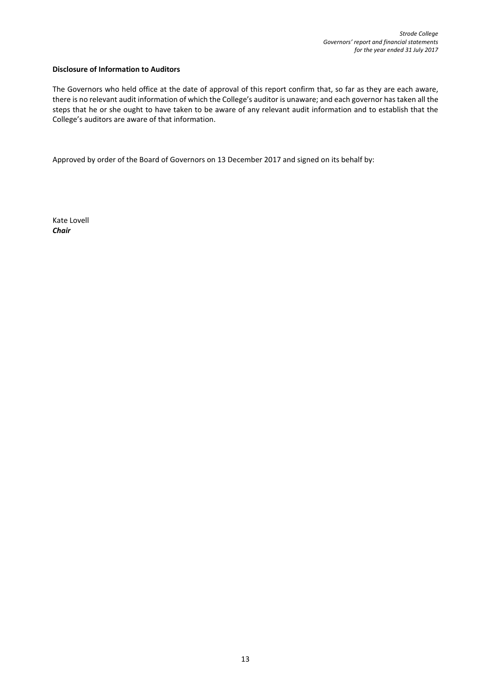### **Disclosure of Information to Auditors**

The Governors who held office at the date of approval of this report confirm that, so far as they are each aware, there is no relevant audit information of which the College's auditor is unaware; and each governor has taken all the steps that he or she ought to have taken to be aware of any relevant audit information and to establish that the College's auditors are aware of that information.

Approved by order of the Board of Governors on 13 December 2017 and signed on its behalf by:

Kate Lovell *Chair*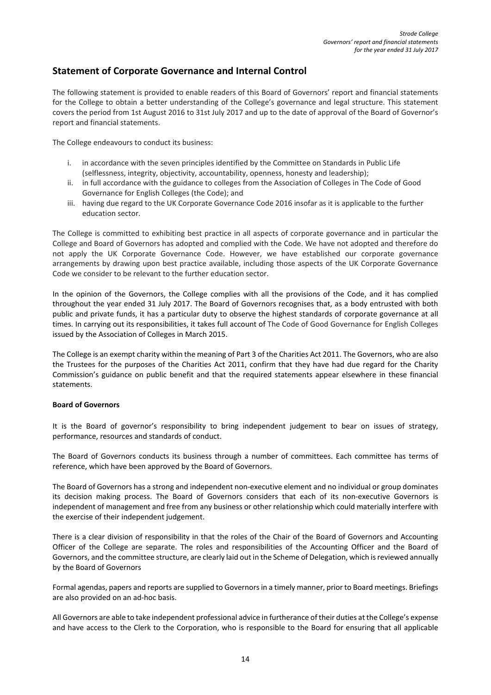# **Statement of Corporate Governance and Internal Control**

The following statement is provided to enable readers of this Board of Governors' report and financial statements for the College to obtain a better understanding of the College's governance and legal structure. This statement covers the period from 1st August 2016 to 31st July 2017 and up to the date of approval of the Board of Governor's report and financial statements.

The College endeavours to conduct its business:

- i. in accordance with the seven principles identified by the Committee on Standards in Public Life (selflessness, integrity, objectivity, accountability, openness, honesty and leadership);
- ii. in full accordance with the guidance to colleges from the Association of Colleges in The Code of Good Governance for English Colleges (the Code); and
- iii. having due regard to the UK Corporate Governance Code 2016 insofar as it is applicable to the further education sector.

The College is committed to exhibiting best practice in all aspects of corporate governance and in particular the College and Board of Governors has adopted and complied with the Code. We have not adopted and therefore do not apply the UK Corporate Governance Code. However, we have established our corporate governance arrangements by drawing upon best practice available, including those aspects of the UK Corporate Governance Code we consider to be relevant to the further education sector.

In the opinion of the Governors, the College complies with all the provisions of the Code, and it has complied throughout the year ended 31 July 2017. The Board of Governors recognises that, as a body entrusted with both public and private funds, it has a particular duty to observe the highest standards of corporate governance at all times. In carrying out its responsibilities, it takes full account of The Code of Good Governance for English Colleges issued by the Association of Colleges in March 2015.

The College is an exempt charity within the meaning of Part 3 of the Charities Act 2011. The Governors, who are also the Trustees for the purposes of the Charities Act 2011, confirm that they have had due regard for the Charity Commission's guidance on public benefit and that the required statements appear elsewhere in these financial statements.

### **Board of Governors**

It is the Board of governor's responsibility to bring independent judgement to bear on issues of strategy, performance, resources and standards of conduct.

The Board of Governors conducts its business through a number of committees. Each committee has terms of reference, which have been approved by the Board of Governors.

The Board of Governors has a strong and independent non-executive element and no individual or group dominates its decision making process. The Board of Governors considers that each of its non-executive Governors is independent of management and free from any business or other relationship which could materially interfere with the exercise of their independent judgement.

There is a clear division of responsibility in that the roles of the Chair of the Board of Governors and Accounting Officer of the College are separate. The roles and responsibilities of the Accounting Officer and the Board of Governors, and the committee structure, are clearly laid out in the Scheme of Delegation, which is reviewed annually by the Board of Governors

Formal agendas, papers and reports are supplied to Governors in a timely manner, prior to Board meetings. Briefings are also provided on an ad-hoc basis.

All Governors are able to take independent professional advice in furtherance of their duties at the College's expense and have access to the Clerk to the Corporation, who is responsible to the Board for ensuring that all applicable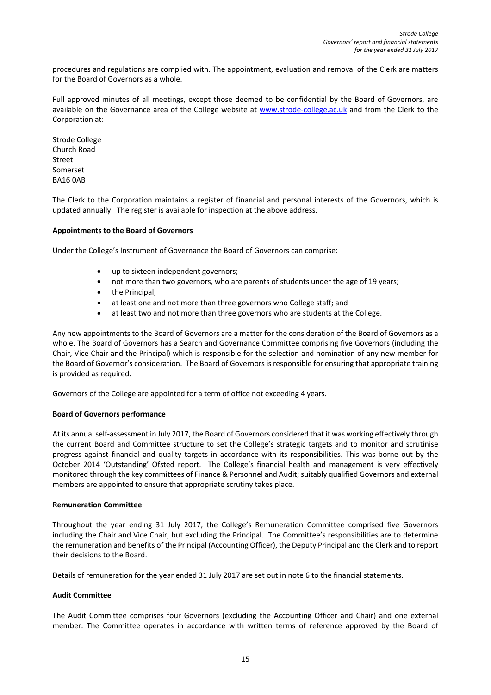procedures and regulations are complied with. The appointment, evaluation and removal of the Clerk are matters for the Board of Governors as a whole.

Full approved minutes of all meetings, except those deemed to be confidential by the Board of Governors, are available on the Governance area of the College website at [www.strode-college.ac.uk](http://www.strode-college.ac.uk/) and from the Clerk to the Corporation at:

Strode College Church Road Street Somerset BA16 0AB

The Clerk to the Corporation maintains a register of financial and personal interests of the Governors, which is updated annually. The register is available for inspection at the above address.

### **Appointments to the Board of Governors**

Under the College's Instrument of Governance the Board of Governors can comprise:

- up to sixteen independent governors;
- not more than two governors, who are parents of students under the age of 19 years;
- the Principal;
- at least one and not more than three governors who College staff; and
- at least two and not more than three governors who are students at the College.

Any new appointments to the Board of Governors are a matter for the consideration of the Board of Governors as a whole. The Board of Governors has a Search and Governance Committee comprising five Governors (including the Chair, Vice Chair and the Principal) which is responsible for the selection and nomination of any new member for the Board of Governor's consideration. The Board of Governors is responsible for ensuring that appropriate training is provided as required.

Governors of the College are appointed for a term of office not exceeding 4 years.

### **Board of Governors performance**

At its annual self-assessment in July 2017, the Board of Governors considered that it was working effectively through the current Board and Committee structure to set the College's strategic targets and to monitor and scrutinise progress against financial and quality targets in accordance with its responsibilities. This was borne out by the October 2014 'Outstanding' Ofsted report. The College's financial health and management is very effectively monitored through the key committees of Finance & Personnel and Audit; suitably qualified Governors and external members are appointed to ensure that appropriate scrutiny takes place.

### **Remuneration Committee**

Throughout the year ending 31 July 2017, the College's Remuneration Committee comprised five Governors including the Chair and Vice Chair, but excluding the Principal. The Committee's responsibilities are to determine the remuneration and benefits of the Principal (Accounting Officer), the Deputy Principal and the Clerk and to report their decisions to the Board.

Details of remuneration for the year ended 31 July 2017 are set out in not[e 6](#page-36-0) to the financial statements.

### **Audit Committee**

The Audit Committee comprises four Governors (excluding the Accounting Officer and Chair) and one external member. The Committee operates in accordance with written terms of reference approved by the Board of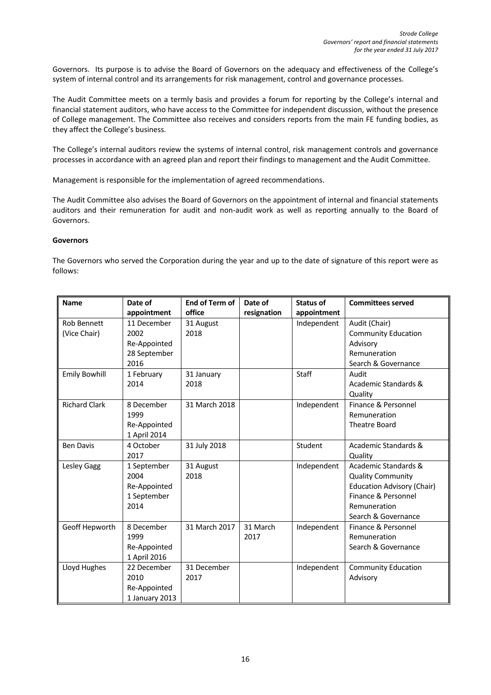Governors. Its purpose is to advise the Board of Governors on the adequacy and effectiveness of the College's system of internal control and its arrangements for risk management, control and governance processes.

The Audit Committee meets on a termly basis and provides a forum for reporting by the College's internal and financial statement auditors, who have access to the Committee for independent discussion, without the presence of College management. The Committee also receives and considers reports from the main FE funding bodies, as they affect the College's business.

The College's internal auditors review the systems of internal control, risk management controls and governance processes in accordance with an agreed plan and report their findings to management and the Audit Committee.

Management is responsible for the implementation of agreed recommendations.

The Audit Committee also advises the Board of Governors on the appointment of internal and financial statements auditors and their remuneration for audit and non-audit work as well as reporting annually to the Board of Governors.

### **Governors**

The Governors who served the Corporation during the year and up to the date of signature of this report were as follows:

| <b>Name</b>          | Date of            | <b>End of Term of</b> | Date of     | <b>Status of</b> | <b>Committees served</b>            |
|----------------------|--------------------|-----------------------|-------------|------------------|-------------------------------------|
|                      | appointment        | office                | resignation | appointment      |                                     |
| <b>Rob Bennett</b>   | 11 December        | 31 August             |             | Independent      | Audit (Chair)                       |
| (Vice Chair)         | 2002               | 2018                  |             |                  | <b>Community Education</b>          |
|                      | Re-Appointed       |                       |             |                  | Advisory                            |
|                      | 28 September       |                       |             |                  | Remuneration                        |
|                      | 2016               |                       |             |                  | Search & Governance                 |
| <b>Emily Bowhill</b> | 1 February         | 31 January            |             | Staff            | Audit                               |
|                      | 2014               | 2018                  |             |                  | Academic Standards &                |
|                      |                    |                       |             |                  | Quality                             |
| <b>Richard Clark</b> | 8 December         | 31 March 2018         |             | Independent      | Finance & Personnel                 |
|                      | 1999               |                       |             |                  | Remuneration                        |
|                      | Re-Appointed       |                       |             |                  | <b>Theatre Board</b>                |
|                      | 1 April 2014       |                       |             |                  |                                     |
| <b>Ben Davis</b>     | 4 October          | 31 July 2018          |             | Student          | Academic Standards &                |
|                      | 2017               |                       |             |                  | Quality                             |
| Lesley Gagg          | 1 September        | 31 August             |             | Independent      | Academic Standards &                |
|                      | 2004               | 2018                  |             |                  | <b>Quality Community</b>            |
|                      | Re-Appointed       |                       |             |                  | <b>Education Advisory (Chair)</b>   |
|                      | 1 September        |                       |             |                  | Finance & Personnel                 |
|                      | 2014               |                       |             |                  | Remuneration                        |
|                      |                    | 31 March 2017         | 31 March    |                  | Search & Governance                 |
| Geoff Hepworth       | 8 December<br>1999 |                       | 2017        | Independent      | Finance & Personnel<br>Remuneration |
|                      | Re-Appointed       |                       |             |                  | Search & Governance                 |
|                      | 1 April 2016       |                       |             |                  |                                     |
| Lloyd Hughes         | 22 December        | 31 December           |             | Independent      | <b>Community Education</b>          |
|                      | 2010               | 2017                  |             |                  | Advisory                            |
|                      | Re-Appointed       |                       |             |                  |                                     |
|                      | 1 January 2013     |                       |             |                  |                                     |
|                      |                    |                       |             |                  |                                     |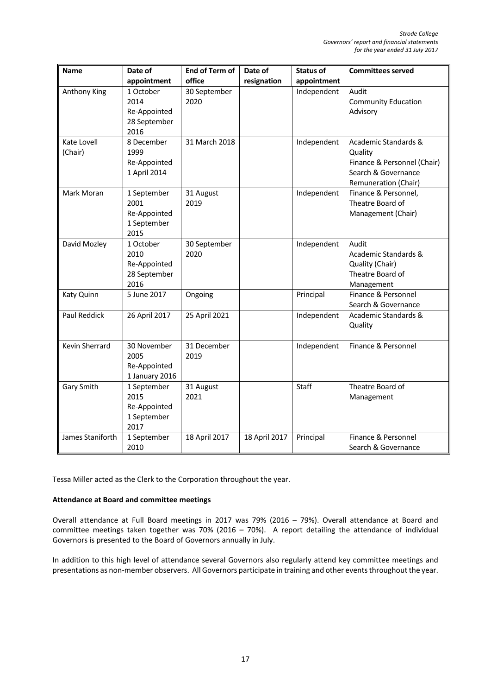| <b>Name</b>         | Date of              | <b>End of Term of</b> | Date of       | <b>Status of</b> | <b>Committees served</b>            |
|---------------------|----------------------|-----------------------|---------------|------------------|-------------------------------------|
|                     | appointment          | office                | resignation   | appointment      |                                     |
| Anthony King        | 1 October            | 30 September          |               | Independent      | Audit                               |
|                     | 2014                 | 2020                  |               |                  | <b>Community Education</b>          |
|                     | Re-Appointed         |                       |               |                  | Advisory                            |
|                     | 28 September         |                       |               |                  |                                     |
|                     | 2016                 |                       |               |                  |                                     |
| Kate Lovell         | 8 December           | 31 March 2018         |               | Independent      | Academic Standards &                |
| (Chair)             | 1999                 |                       |               |                  | Quality                             |
|                     | Re-Appointed         |                       |               |                  | Finance & Personnel (Chair)         |
|                     | 1 April 2014         |                       |               |                  | Search & Governance                 |
|                     |                      |                       |               |                  | Remuneration (Chair)                |
| Mark Moran          | 1 September          | 31 August             |               | Independent      | Finance & Personnel,                |
|                     | 2001                 | 2019                  |               |                  | Theatre Board of                    |
|                     | Re-Appointed         |                       |               |                  | Management (Chair)                  |
|                     | 1 September          |                       |               |                  |                                     |
|                     | 2015                 |                       |               |                  |                                     |
| David Mozley        | 1 October            | 30 September          |               | Independent      | Audit                               |
|                     | 2010                 | 2020                  |               |                  | Academic Standards &                |
|                     | Re-Appointed         |                       |               |                  | Quality (Chair)<br>Theatre Board of |
|                     | 28 September<br>2016 |                       |               |                  | Management                          |
| Katy Quinn          | 5 June 2017          | Ongoing               |               | Principal        | Finance & Personnel                 |
|                     |                      |                       |               |                  | Search & Governance                 |
| <b>Paul Reddick</b> | 26 April 2017        | 25 April 2021         |               | Independent      | Academic Standards &                |
|                     |                      |                       |               |                  | Quality                             |
|                     |                      |                       |               |                  |                                     |
| Kevin Sherrard      | 30 November          | 31 December           |               | Independent      | Finance & Personnel                 |
|                     | 2005                 | 2019                  |               |                  |                                     |
|                     | Re-Appointed         |                       |               |                  |                                     |
|                     | 1 January 2016       |                       |               |                  |                                     |
| Gary Smith          | 1 September          | 31 August             |               | Staff            | Theatre Board of                    |
|                     | 2015                 | 2021                  |               |                  | Management                          |
|                     | Re-Appointed         |                       |               |                  |                                     |
|                     | 1 September          |                       |               |                  |                                     |
|                     | 2017                 |                       |               |                  |                                     |
| James Staniforth    | 1 September          | 18 April 2017         | 18 April 2017 | Principal        | Finance & Personnel                 |
|                     | 2010                 |                       |               |                  | Search & Governance                 |

Tessa Miller acted as the Clerk to the Corporation throughout the year.

### **Attendance at Board and committee meetings**

Overall attendance at Full Board meetings in 2017 was 79% (2016 – 79%). Overall attendance at Board and committee meetings taken together was 70% (2016 – 70%). A report detailing the attendance of individual Governors is presented to the Board of Governors annually in July.

In addition to this high level of attendance several Governors also regularly attend key committee meetings and presentations as non-member observers. All Governors participate in training and other events throughout the year.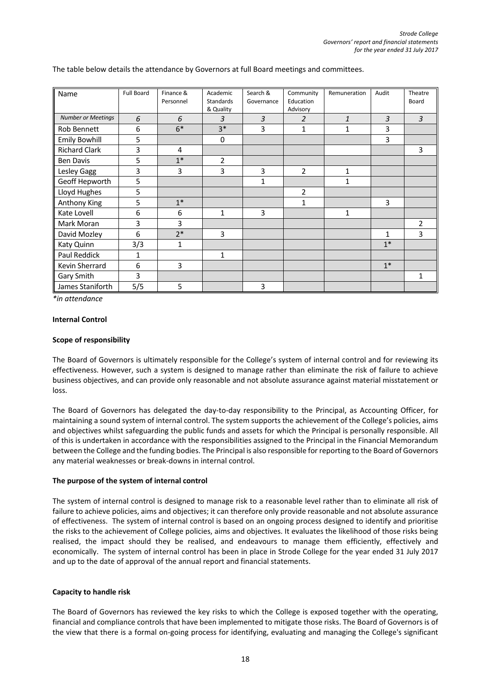| Name                      | Full Board | Finance &<br>Personnel | Academic<br>Standards<br>& Quality | Search &<br>Governance | Community<br>Education<br>Advisory | Remuneration | Audit | Theatre<br>Board |
|---------------------------|------------|------------------------|------------------------------------|------------------------|------------------------------------|--------------|-------|------------------|
| <b>Number or Meetings</b> | 6          | 6                      | $\overline{3}$                     | $\mathfrak{Z}$         | 2                                  | 1            | 3     | $\overline{3}$   |
| Rob Bennett               | 6          | $6*$                   | $3*$                               | 3                      | 1                                  | $\mathbf{1}$ | 3     |                  |
| <b>Emily Bowhill</b>      | 5          |                        | 0                                  |                        |                                    |              | 3     |                  |
| <b>Richard Clark</b>      | 3          | 4                      |                                    |                        |                                    |              |       | 3                |
| <b>Ben Davis</b>          | 5          | $1*$                   | $\overline{2}$                     |                        |                                    |              |       |                  |
| Lesley Gagg               | 3          | 3                      | 3                                  | 3                      | $\overline{2}$                     | $\mathbf{1}$ |       |                  |
| Geoff Hepworth            | 5          |                        |                                    | $\mathbf{1}$           |                                    | $\mathbf{1}$ |       |                  |
| Lloyd Hughes              | 5          |                        |                                    |                        | 2                                  |              |       |                  |
| Anthony King              | 5          | $1*$                   |                                    |                        | 1                                  |              | 3     |                  |
| Kate Lovell               | 6          | 6                      | 1                                  | 3                      |                                    | 1            |       |                  |
| Mark Moran                | 3          | 3                      |                                    |                        |                                    |              |       | $\overline{2}$   |
| David Mozley              | 6          | $2*$                   | 3                                  |                        |                                    |              | 1     | 3                |
| Katy Quinn                | 3/3        | 1                      |                                    |                        |                                    |              | $1*$  |                  |
| Paul Reddick              | 1          |                        | $\mathbf{1}$                       |                        |                                    |              |       |                  |
| Kevin Sherrard            | 6          | 3                      |                                    |                        |                                    |              | $1*$  |                  |
| Gary Smith                | 3          |                        |                                    |                        |                                    |              |       | 1                |
| James Staniforth          | 5/5        | 5                      |                                    | 3                      |                                    |              |       |                  |

The table below details the attendance by Governors at full Board meetings and committees.

*\*in attendance*

### **Internal Control**

### **Scope of responsibility**

The Board of Governors is ultimately responsible for the College's system of internal control and for reviewing its effectiveness. However, such a system is designed to manage rather than eliminate the risk of failure to achieve business objectives, and can provide only reasonable and not absolute assurance against material misstatement or loss.

The Board of Governors has delegated the day-to-day responsibility to the Principal, as Accounting Officer, for maintaining a sound system of internal control. The system supports the achievement of the College's policies, aims and objectives whilst safeguarding the public funds and assets for which the Principal is personally responsible. All of this is undertaken in accordance with the responsibilities assigned to the Principal in the Financial Memorandum between the College and the funding bodies. The Principal is also responsible for reporting to the Board of Governors any material weaknesses or break-downs in internal control.

### **The purpose of the system of internal control**

The system of internal control is designed to manage risk to a reasonable level rather than to eliminate all risk of failure to achieve policies, aims and objectives; it can therefore only provide reasonable and not absolute assurance of effectiveness. The system of internal control is based on an ongoing process designed to identify and prioritise the risks to the achievement of College policies, aims and objectives. It evaluates the likelihood of those risks being realised, the impact should they be realised, and endeavours to manage them efficiently, effectively and economically. The system of internal control has been in place in Strode College for the year ended 31 July 2017 and up to the date of approval of the annual report and financial statements.

### **Capacity to handle risk**

The Board of Governors has reviewed the key risks to which the College is exposed together with the operating, financial and compliance controls that have been implemented to mitigate those risks. The Board of Governors is of the view that there is a formal on-going process for identifying, evaluating and managing the College's significant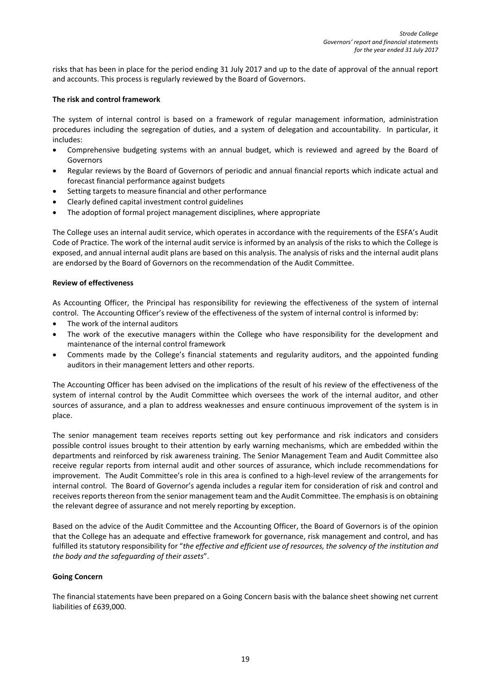risks that has been in place for the period ending 31 July 2017 and up to the date of approval of the annual report and accounts. This process is regularly reviewed by the Board of Governors.

### **The risk and control framework**

The system of internal control is based on a framework of regular management information, administration procedures including the segregation of duties, and a system of delegation and accountability. In particular, it includes:

- Comprehensive budgeting systems with an annual budget, which is reviewed and agreed by the Board of Governors
- Regular reviews by the Board of Governors of periodic and annual financial reports which indicate actual and forecast financial performance against budgets
- Setting targets to measure financial and other performance
- Clearly defined capital investment control guidelines
- The adoption of formal project management disciplines, where appropriate

The College uses an internal audit service, which operates in accordance with the requirements of the ESFA's Audit Code of Practice. The work of the internal audit service is informed by an analysis of the risks to which the College is exposed, and annual internal audit plans are based on this analysis. The analysis of risks and the internal audit plans are endorsed by the Board of Governors on the recommendation of the Audit Committee.

### **Review of effectiveness**

As Accounting Officer, the Principal has responsibility for reviewing the effectiveness of the system of internal control. The Accounting Officer's review of the effectiveness of the system of internal control is informed by:

- The work of the internal auditors
- The work of the executive managers within the College who have responsibility for the development and maintenance of the internal control framework
- Comments made by the College's financial statements and regularity auditors, and the appointed funding auditors in their management letters and other reports.

The Accounting Officer has been advised on the implications of the result of his review of the effectiveness of the system of internal control by the Audit Committee which oversees the work of the internal auditor, and other sources of assurance, and a plan to address weaknesses and ensure continuous improvement of the system is in place.

The senior management team receives reports setting out key performance and risk indicators and considers possible control issues brought to their attention by early warning mechanisms, which are embedded within the departments and reinforced by risk awareness training. The Senior Management Team and Audit Committee also receive regular reports from internal audit and other sources of assurance, which include recommendations for improvement. The Audit Committee's role in this area is confined to a high-level review of the arrangements for internal control. The Board of Governor's agenda includes a regular item for consideration of risk and control and receives reports thereon from the senior management team and the Audit Committee. The emphasis is on obtaining the relevant degree of assurance and not merely reporting by exception.

Based on the advice of the Audit Committee and the Accounting Officer, the Board of Governors is of the opinion that the College has an adequate and effective framework for governance, risk management and control, and has fulfilled its statutory responsibility for "*the effective and efficient use of resources, the solvency of the institution and the body and the safeguarding of their assets*".

### **Going Concern**

The financial statements have been prepared on a Going Concern basis with the balance sheet showing net current liabilities of £639,000.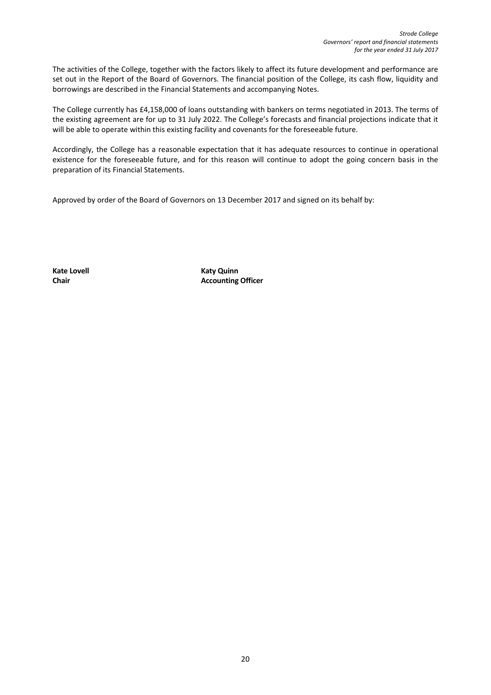The activities of the College, together with the factors likely to affect its future development and performance are set out in the Report of the Board of Governors. The financial position of the College, its cash flow, liquidity and borrowings are described in the Financial Statements and accompanying Notes.

The College currently has £4,158,000 of loans outstanding with bankers on terms negotiated in 2013. The terms of the existing agreement are for up to 31 July 2022. The College's forecasts and financial projections indicate that it will be able to operate within this existing facility and covenants for the foreseeable future.

Accordingly, the College has a reasonable expectation that it has adequate resources to continue in operational existence for the foreseeable future, and for this reason will continue to adopt the going concern basis in the preparation of its Financial Statements.

Approved by order of the Board of Governors on 13 December 2017 and signed on its behalf by:

**Kate Lovell Katy Quinn Chair Accounting Officer**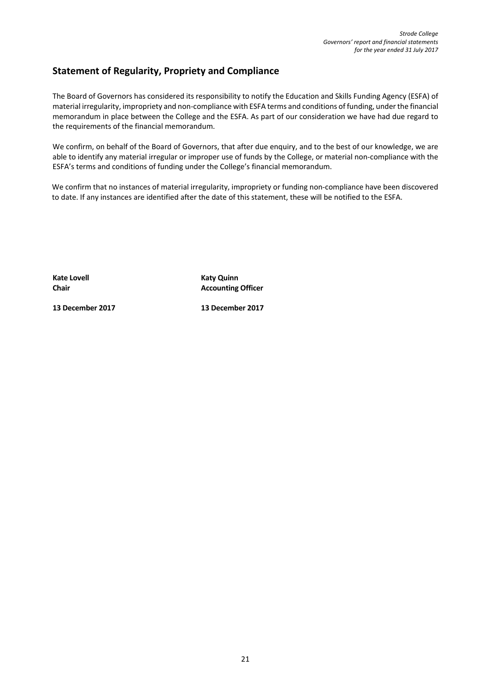# **Statement of Regularity, Propriety and Compliance**

The Board of Governors has considered its responsibility to notify the Education and Skills Funding Agency (ESFA) of material irregularity, impropriety and non-compliance with ESFA terms and conditions of funding, under the financial memorandum in place between the College and the ESFA. As part of our consideration we have had due regard to the requirements of the financial memorandum.

We confirm, on behalf of the Board of Governors, that after due enquiry, and to the best of our knowledge, we are able to identify any material irregular or improper use of funds by the College, or material non-compliance with the ESFA's terms and conditions of funding under the College's financial memorandum.

We confirm that no instances of material irregularity, impropriety or funding non-compliance have been discovered to date. If any instances are identified after the date of this statement, these will be notified to the ESFA.

**Kate Lovell Katy Quinn Chair Chair Accounting Officer** 

**13 December 2017 13 December 2017**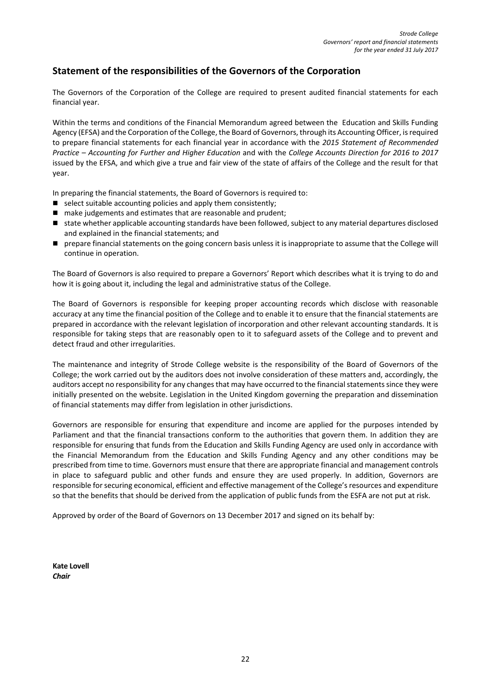# **Statement of the responsibilities of the Governors of the Corporation**

The Governors of the Corporation of the College are required to present audited financial statements for each financial year.

Within the terms and conditions of the Financial Memorandum agreed between the Education and Skills Funding Agency (EFSA) and the Corporation of the College, the Board of Governors, through its Accounting Officer, is required to prepare financial statements for each financial year in accordance with the *2015 Statement of Recommended Practice – Accounting for Further and Higher Education* and with the *College Accounts Direction for 2016 to 2017* issued by the EFSA, and which give a true and fair view of the state of affairs of the College and the result for that year.

In preparing the financial statements, the Board of Governors is required to:

- select suitable accounting policies and apply them consistently;
- make judgements and estimates that are reasonable and prudent;
- state whether applicable accounting standards have been followed, subject to any material departures disclosed and explained in the financial statements; and
- **P** prepare financial statements on the going concern basis unless it is inappropriate to assume that the College will continue in operation.

The Board of Governors is also required to prepare a Governors' Report which describes what it is trying to do and how it is going about it, including the legal and administrative status of the College.

The Board of Governors is responsible for keeping proper accounting records which disclose with reasonable accuracy at any time the financial position of the College and to enable it to ensure that the financial statements are prepared in accordance with the relevant legislation of incorporation and other relevant accounting standards. It is responsible for taking steps that are reasonably open to it to safeguard assets of the College and to prevent and detect fraud and other irregularities.

The maintenance and integrity of Strode College website is the responsibility of the Board of Governors of the College; the work carried out by the auditors does not involve consideration of these matters and, accordingly, the auditors accept no responsibility for any changes that may have occurred to the financial statements since they were initially presented on the website. Legislation in the United Kingdom governing the preparation and dissemination of financial statements may differ from legislation in other jurisdictions.

Governors are responsible for ensuring that expenditure and income are applied for the purposes intended by Parliament and that the financial transactions conform to the authorities that govern them. In addition they are responsible for ensuring that funds from the Education and Skills Funding Agency are used only in accordance with the Financial Memorandum from the Education and Skills Funding Agency and any other conditions may be prescribed from time to time. Governors must ensure that there are appropriate financial and management controls in place to safeguard public and other funds and ensure they are used properly. In addition, Governors are responsible for securing economical, efficient and effective management of the College's resources and expenditure so that the benefits that should be derived from the application of public funds from the ESFA are not put at risk.

Approved by order of the Board of Governors on 13 December 2017 and signed on its behalf by:

**Kate Lovell**  *Chair*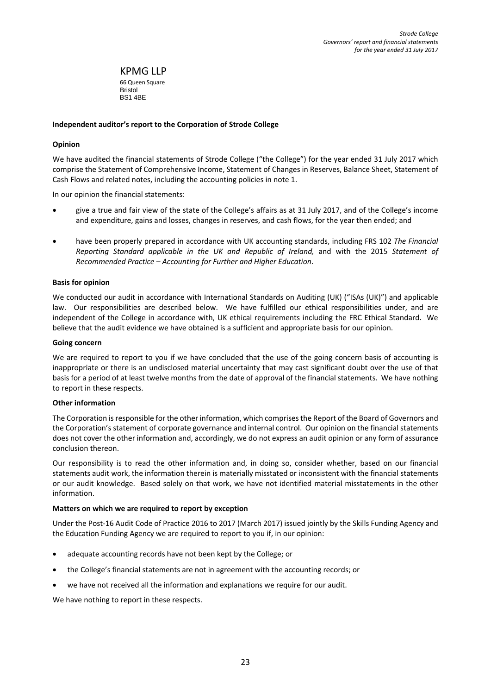KPMG LLP 66 Queen Square Bristol BS1 4BE

### **Independent auditor's report to the Corporation of Strode College**

### **Opinion**

We have audited the financial statements of Strode College ("the College") for the year ended 31 July 2017 which comprise the Statement of Comprehensive Income, Statement of Changes in Reserves, Balance Sheet, Statement of Cash Flows and related notes, including the accounting policies in note 1.

In our opinion the financial statements:

- give a true and fair view of the state of the College's affairs as at 31 July 2017, and of the College's income and expenditure, gains and losses, changes in reserves, and cash flows, for the year then ended; and
- have been properly prepared in accordance with UK accounting standards, including FRS 102 *The Financial Reporting Standard applicable in the UK and Republic of Ireland,* and with the 2015 *Statement of Recommended Practice – Accounting for Further and Higher Education*.

### **Basis for opinion**

We conducted our audit in accordance with International Standards on Auditing (UK) ("ISAs (UK)") and applicable law. Our responsibilities are described below. We have fulfilled our ethical responsibilities under, and are independent of the College in accordance with, UK ethical requirements including the FRC Ethical Standard. We believe that the audit evidence we have obtained is a sufficient and appropriate basis for our opinion.

### **Going concern**

We are required to report to you if we have concluded that the use of the going concern basis of accounting is inappropriate or there is an undisclosed material uncertainty that may cast significant doubt over the use of that basis for a period of at least twelve months from the date of approval of the financial statements. We have nothing to report in these respects.

### **Other information**

The Corporation is responsible for the other information, which comprises the Report of the Board of Governors and the Corporation's statement of corporate governance and internal control. Our opinion on the financial statements does not cover the other information and, accordingly, we do not express an audit opinion or any form of assurance conclusion thereon.

Our responsibility is to read the other information and, in doing so, consider whether, based on our financial statements audit work, the information therein is materially misstated or inconsistent with the financial statements or our audit knowledge. Based solely on that work, we have not identified material misstatements in the other information.

### **Matters on which we are required to report by exception**

Under the Post-16 Audit Code of Practice 2016 to 2017 (March 2017) issued jointly by the Skills Funding Agency and the Education Funding Agency we are required to report to you if, in our opinion:

- adequate accounting records have not been kept by the College; or
- the College's financial statements are not in agreement with the accounting records; or
- we have not received all the information and explanations we require for our audit.

We have nothing to report in these respects.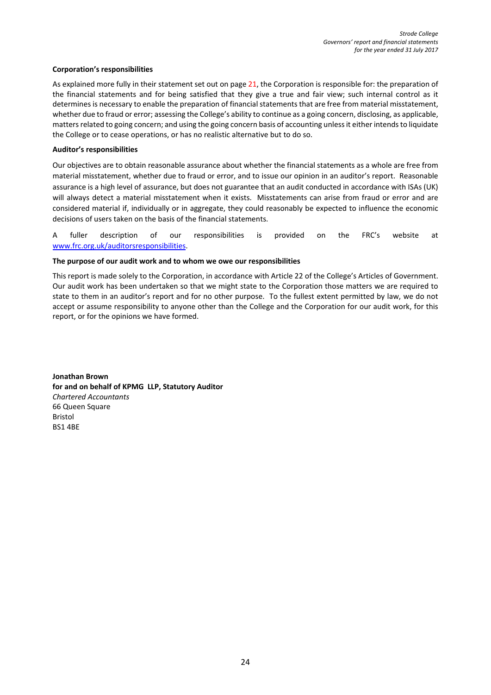### **Corporation's responsibilities**

As explained more fully in their statement set out on page 21, the Corporation is responsible for: the preparation of the financial statements and for being satisfied that they give a true and fair view; such internal control as it determines is necessary to enable the preparation of financial statements that are free from material misstatement, whether due to fraud or error; assessing the College's ability to continue as a going concern, disclosing, as applicable, matters related to going concern; and using the going concern basis of accounting unless it either intends to liquidate the College or to cease operations, or has no realistic alternative but to do so.

### **Auditor's responsibilities**

Our objectives are to obtain reasonable assurance about whether the financial statements as a whole are free from material misstatement, whether due to fraud or error, and to issue our opinion in an auditor's report. Reasonable assurance is a high level of assurance, but does not guarantee that an audit conducted in accordance with ISAs (UK) will always detect a material misstatement when it exists. Misstatements can arise from fraud or error and are considered material if, individually or in aggregate, they could reasonably be expected to influence the economic decisions of users taken on the basis of the financial statements.

A fuller description of our responsibilities is provided on the FRC's website at [www.frc.org.uk/auditorsresponsibilities.](http://www.frc.org.uk/auditorsresponsibilities)

### **The purpose of our audit work and to whom we owe our responsibilities**

This report is made solely to the Corporation, in accordance with Article 22 of the College's Articles of Government. Our audit work has been undertaken so that we might state to the Corporation those matters we are required to state to them in an auditor's report and for no other purpose. To the fullest extent permitted by law, we do not accept or assume responsibility to anyone other than the College and the Corporation for our audit work, for this report, or for the opinions we have formed.

**Jonathan Brown for and on behalf of KPMG LLP, Statutory Auditor**  *Chartered Accountants*  66 Queen Square Bristol BS1 4BE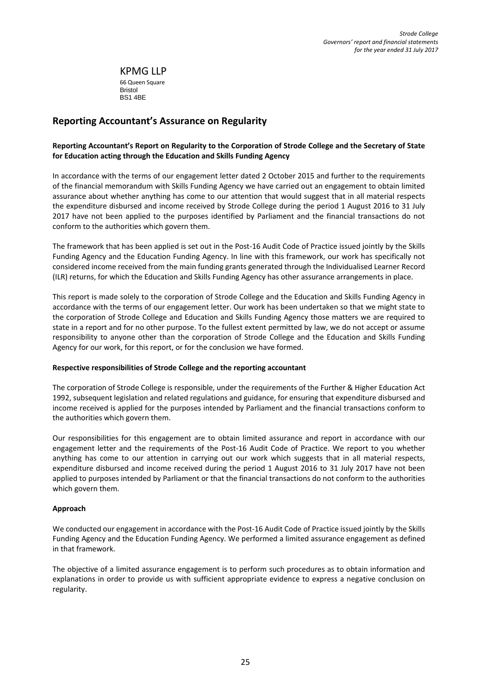KPMG LLP 66 Queen Square Bristol BS1 4BE

# **Reporting Accountant's Assurance on Regularity**

# **Reporting Accountant's Report on Regularity to the Corporation of Strode College and the Secretary of State for Education acting through the Education and Skills Funding Agency**

In accordance with the terms of our engagement letter dated 2 October 2015 and further to the requirements of the financial memorandum with Skills Funding Agency we have carried out an engagement to obtain limited assurance about whether anything has come to our attention that would suggest that in all material respects the expenditure disbursed and income received by Strode College during the period 1 August 2016 to 31 July 2017 have not been applied to the purposes identified by Parliament and the financial transactions do not conform to the authorities which govern them.

The framework that has been applied is set out in the Post-16 Audit Code of Practice issued jointly by the Skills Funding Agency and the Education Funding Agency. In line with this framework, our work has specifically not considered income received from the main funding grants generated through the Individualised Learner Record (ILR) returns, for which the Education and Skills Funding Agency has other assurance arrangements in place.

This report is made solely to the corporation of Strode College and the Education and Skills Funding Agency in accordance with the terms of our engagement letter. Our work has been undertaken so that we might state to the corporation of Strode College and Education and Skills Funding Agency those matters we are required to state in a report and for no other purpose. To the fullest extent permitted by law, we do not accept or assume responsibility to anyone other than the corporation of Strode College and the Education and Skills Funding Agency for our work, for this report, or for the conclusion we have formed.

### **Respective responsibilities of Strode College and the reporting accountant**

The corporation of Strode College is responsible, under the requirements of the Further & Higher Education Act 1992, subsequent legislation and related regulations and guidance, for ensuring that expenditure disbursed and income received is applied for the purposes intended by Parliament and the financial transactions conform to the authorities which govern them.

Our responsibilities for this engagement are to obtain limited assurance and report in accordance with our engagement letter and the requirements of the Post-16 Audit Code of Practice. We report to you whether anything has come to our attention in carrying out our work which suggests that in all material respects, expenditure disbursed and income received during the period 1 August 2016 to 31 July 2017 have not been applied to purposes intended by Parliament or that the financial transactions do not conform to the authorities which govern them.

# **Approach**

We conducted our engagement in accordance with the Post-16 Audit Code of Practice issued jointly by the Skills Funding Agency and the Education Funding Agency. We performed a limited assurance engagement as defined in that framework.

The objective of a limited assurance engagement is to perform such procedures as to obtain information and explanations in order to provide us with sufficient appropriate evidence to express a negative conclusion on regularity.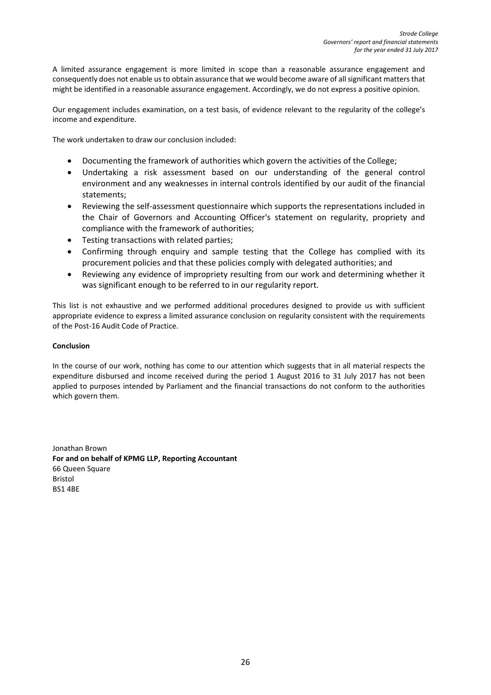A limited assurance engagement is more limited in scope than a reasonable assurance engagement and consequently does not enable us to obtain assurance that we would become aware of all significant matters that might be identified in a reasonable assurance engagement. Accordingly, we do not express a positive opinion.

Our engagement includes examination, on a test basis, of evidence relevant to the regularity of the college's income and expenditure.

The work undertaken to draw our conclusion included:

- Documenting the framework of authorities which govern the activities of the College;
- Undertaking a risk assessment based on our understanding of the general control environment and any weaknesses in internal controls identified by our audit of the financial statements;
- Reviewing the self-assessment questionnaire which supports the representations included in the Chair of Governors and Accounting Officer's statement on regularity, propriety and compliance with the framework of authorities;
- Testing transactions with related parties;
- Confirming through enquiry and sample testing that the College has complied with its procurement policies and that these policies comply with delegated authorities; and
- Reviewing any evidence of impropriety resulting from our work and determining whether it was significant enough to be referred to in our regularity report.

This list is not exhaustive and we performed additional procedures designed to provide us with sufficient appropriate evidence to express a limited assurance conclusion on regularity consistent with the requirements of the Post-16 Audit Code of Practice.

# **Conclusion**

In the course of our work, nothing has come to our attention which suggests that in all material respects the expenditure disbursed and income received during the period 1 August 2016 to 31 July 2017 has not been applied to purposes intended by Parliament and the financial transactions do not conform to the authorities which govern them.

Jonathan Brown **For and on behalf of KPMG LLP, Reporting Accountant**  66 Queen Square Bristol BS1 4BE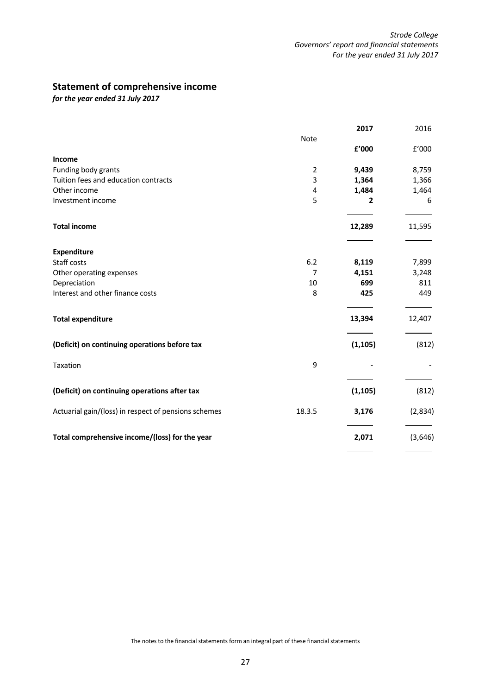# **Statement of comprehensive income**

*for the year ended 31 July 2017*

|                                                             |                     | 2017                    | 2016    |
|-------------------------------------------------------------|---------------------|-------------------------|---------|
|                                                             | Note                |                         |         |
|                                                             |                     | £'000                   | f'000   |
| Income                                                      |                     |                         |         |
| Funding body grants<br>Tuition fees and education contracts | $\overline{2}$<br>3 | 9,439                   | 8,759   |
| Other income                                                |                     | 1,364                   | 1,366   |
|                                                             | 4<br>5              | 1,484<br>$\overline{2}$ | 1,464   |
| Investment income                                           |                     |                         | 6       |
| <b>Total income</b>                                         |                     | 12,289                  | 11,595  |
|                                                             |                     |                         |         |
| <b>Expenditure</b>                                          |                     |                         |         |
| Staff costs                                                 | 6.2                 | 8,119                   | 7,899   |
| Other operating expenses                                    | $\overline{7}$      | 4,151                   | 3,248   |
| Depreciation                                                | 10                  | 699                     | 811     |
| Interest and other finance costs                            | 8                   | 425                     | 449     |
| <b>Total expenditure</b>                                    |                     | 13,394                  | 12,407  |
| (Deficit) on continuing operations before tax               |                     | (1, 105)                | (812)   |
| Taxation                                                    | 9                   |                         |         |
| (Deficit) on continuing operations after tax                |                     | (1, 105)                | (812)   |
| Actuarial gain/(loss) in respect of pensions schemes        | 18.3.5              | 3,176                   | (2,834) |
| Total comprehensive income/(loss) for the year              |                     | 2,071                   | (3,646) |
|                                                             |                     |                         |         |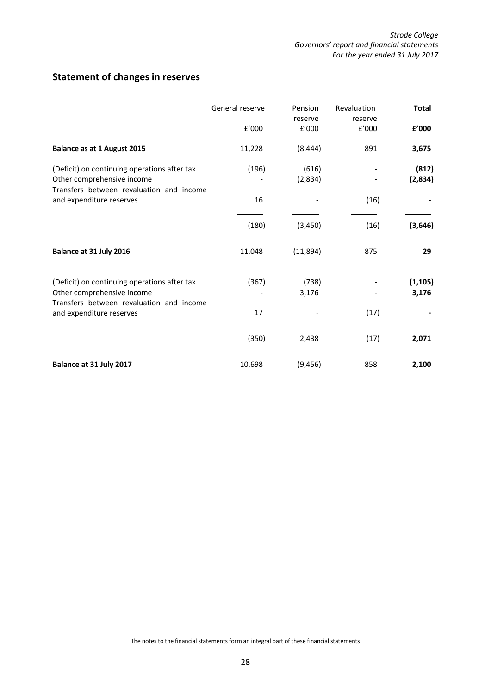# **Statement of changes in reserves**

|                                                                                                                        | General reserve<br>f'000 | Pension<br>reserve<br>f'000 | Revaluation<br>reserve<br>£'000 | <b>Total</b><br>£'000 |
|------------------------------------------------------------------------------------------------------------------------|--------------------------|-----------------------------|---------------------------------|-----------------------|
| <b>Balance as at 1 August 2015</b>                                                                                     | 11,228                   | (8, 444)                    | 891                             | 3,675                 |
| (Deficit) on continuing operations after tax<br>Other comprehensive income<br>Transfers between revaluation and income | (196)                    | (616)<br>(2,834)            |                                 | (812)<br>(2,834)      |
| and expenditure reserves                                                                                               | 16                       |                             | (16)                            |                       |
|                                                                                                                        | (180)                    | (3, 450)                    | (16)                            | (3,646)               |
| Balance at 31 July 2016                                                                                                | 11,048                   | (11,894)                    | 875                             | 29                    |
| (Deficit) on continuing operations after tax<br>Other comprehensive income<br>Transfers between revaluation and income | (367)                    | (738)<br>3,176              |                                 | (1, 105)<br>3,176     |
| and expenditure reserves                                                                                               | 17                       |                             | (17)                            |                       |
|                                                                                                                        | (350)                    | 2,438                       | (17)                            | 2,071                 |
| Balance at 31 July 2017                                                                                                | 10,698                   | (9, 456)                    | 858                             | 2,100                 |

The notes to the financial statements form an integral part of these financial statements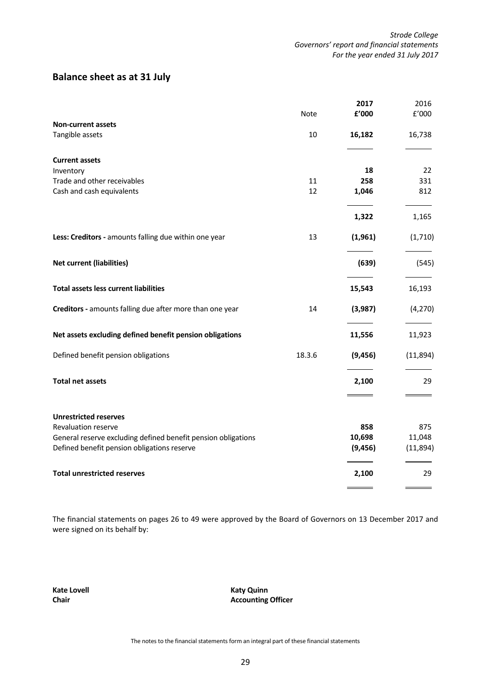# **Balance sheet as at 31 July**

|                                                               |        | 2017     | 2016     |
|---------------------------------------------------------------|--------|----------|----------|
|                                                               | Note   | £'000    | E'000    |
| <b>Non-current assets</b>                                     |        |          |          |
| Tangible assets                                               | 10     | 16,182   | 16,738   |
| <b>Current assets</b>                                         |        |          |          |
| Inventory                                                     |        | 18       | 22       |
| Trade and other receivables                                   | 11     | 258      | 331      |
| Cash and cash equivalents                                     | 12     | 1,046    | 812      |
|                                                               |        | 1,322    | 1,165    |
| Less: Creditors - amounts falling due within one year         | 13     | (1,961)  | (1,710)  |
| <b>Net current (liabilities)</b>                              |        | (639)    | (545)    |
| <b>Total assets less current liabilities</b>                  |        | 15,543   | 16,193   |
| Creditors - amounts falling due after more than one year      | 14     | (3,987)  | (4, 270) |
| Net assets excluding defined benefit pension obligations      |        | 11,556   | 11,923   |
| Defined benefit pension obligations                           | 18.3.6 | (9, 456) | (11,894) |
| <b>Total net assets</b>                                       |        | 2,100    | 29       |
| <b>Unrestricted reserves</b>                                  |        |          |          |
| Revaluation reserve                                           |        | 858      | 875      |
| General reserve excluding defined benefit pension obligations |        | 10,698   | 11,048   |
| Defined benefit pension obligations reserve                   |        | (9, 456) | (11,894) |
| <b>Total unrestricted reserves</b>                            |        | 2,100    | 29       |
|                                                               |        |          |          |

The financial statements on pages 26 to 49 were approved by the Board of Governors on 13 December 2017 and were signed on its behalf by:

**Kate Lovell Katy Quinn Chair Accounting Officer** 

The notes to the financial statements form an integral part of these financial statements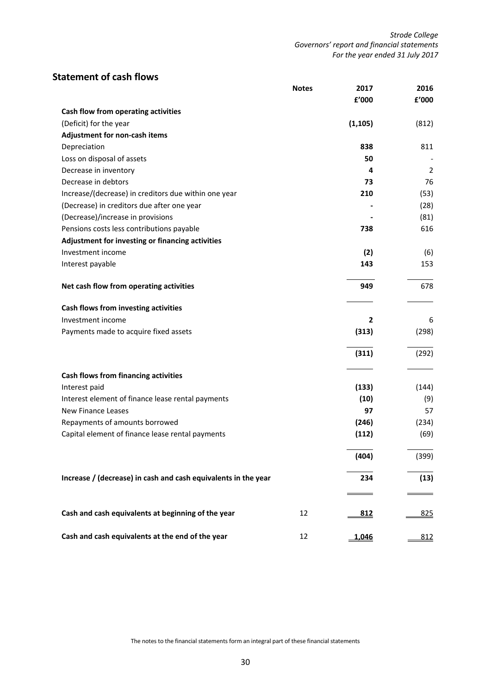# **Statement of cash flows**

|                                                                | <b>Notes</b> | 2017       | 2016           |
|----------------------------------------------------------------|--------------|------------|----------------|
| Cash flow from operating activities                            |              | £'000      | f'000          |
| (Deficit) for the year                                         |              | (1, 105)   | (812)          |
| Adjustment for non-cash items                                  |              |            |                |
| Depreciation                                                   |              | 838        | 811            |
| Loss on disposal of assets                                     |              | 50         |                |
| Decrease in inventory                                          |              | 4          | $\overline{2}$ |
| Decrease in debtors                                            |              | 73         | 76             |
| Increase/(decrease) in creditors due within one year           |              | 210        | (53)           |
| (Decrease) in creditors due after one year                     |              |            | (28)           |
| (Decrease)/increase in provisions                              |              |            | (81)           |
| Pensions costs less contributions payable                      |              | 738        | 616            |
| Adjustment for investing or financing activities               |              |            |                |
| Investment income                                              |              | (2)        | (6)            |
|                                                                |              |            |                |
| Interest payable                                               |              | 143        | 153            |
| Net cash flow from operating activities                        |              | 949        | 678            |
| Cash flows from investing activities                           |              |            |                |
| Investment income                                              |              | 2          | 6              |
| Payments made to acquire fixed assets                          |              | (313)      | (298)          |
|                                                                |              |            |                |
|                                                                |              | (311)      | (292)          |
| Cash flows from financing activities                           |              |            |                |
| Interest paid                                                  |              | (133)      | (144)          |
| Interest element of finance lease rental payments              |              | (10)       | (9)            |
| New Finance Leases                                             |              | 97         | 57             |
| Repayments of amounts borrowed                                 |              | (246)      | (234)          |
| Capital element of finance lease rental payments               |              | (112)      | (69)           |
|                                                                |              |            |                |
|                                                                |              | (404)      | (399)          |
| Increase / (decrease) in cash and cash equivalents in the year |              | 234        | (13)           |
|                                                                |              |            |                |
| Cash and cash equivalents at beginning of the year             | 12           | <u>812</u> | 825            |
| Cash and cash equivalents at the end of the year               | 12           | 1,046      | 812            |

The notes to the financial statements form an integral part of these financial statements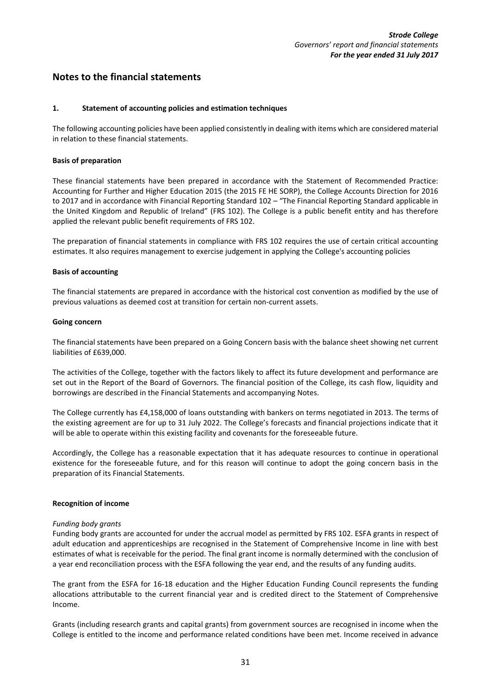# **Notes to the financial statements**

### **1. Statement of accounting policies and estimation techniques**

The following accounting policies have been applied consistently in dealing with items which are considered material in relation to these financial statements.

### **Basis of preparation**

These financial statements have been prepared in accordance with the Statement of Recommended Practice: Accounting for Further and Higher Education 2015 (the 2015 FE HE SORP), the College Accounts Direction for 2016 to 2017 and in accordance with Financial Reporting Standard 102 – "The Financial Reporting Standard applicable in the United Kingdom and Republic of Ireland" (FRS 102). The College is a public benefit entity and has therefore applied the relevant public benefit requirements of FRS 102.

The preparation of financial statements in compliance with FRS 102 requires the use of certain critical accounting estimates. It also requires management to exercise judgement in applying the College's accounting policies

### **Basis of accounting**

The financial statements are prepared in accordance with the historical cost convention as modified by the use of previous valuations as deemed cost at transition for certain non-current assets.

### **Going concern**

The financial statements have been prepared on a Going Concern basis with the balance sheet showing net current liabilities of £639,000.

The activities of the College, together with the factors likely to affect its future development and performance are set out in the Report of the Board of Governors. The financial position of the College, its cash flow, liquidity and borrowings are described in the Financial Statements and accompanying Notes.

The College currently has £4,158,000 of loans outstanding with bankers on terms negotiated in 2013. The terms of the existing agreement are for up to 31 July 2022. The College's forecasts and financial projections indicate that it will be able to operate within this existing facility and covenants for the foreseeable future.

Accordingly, the College has a reasonable expectation that it has adequate resources to continue in operational existence for the foreseeable future, and for this reason will continue to adopt the going concern basis in the preparation of its Financial Statements.

### **Recognition of income**

### *Funding body grants*

Funding body grants are accounted for under the accrual model as permitted by FRS 102. ESFA grants in respect of adult education and apprenticeships are recognised in the Statement of Comprehensive Income in line with best estimates of what is receivable for the period. The final grant income is normally determined with the conclusion of a year end reconciliation process with the ESFA following the year end, and the results of any funding audits.

The grant from the ESFA for 16-18 education and the Higher Education Funding Council represents the funding allocations attributable to the current financial year and is credited direct to the Statement of Comprehensive Income.

Grants (including research grants and capital grants) from government sources are recognised in income when the College is entitled to the income and performance related conditions have been met. Income received in advance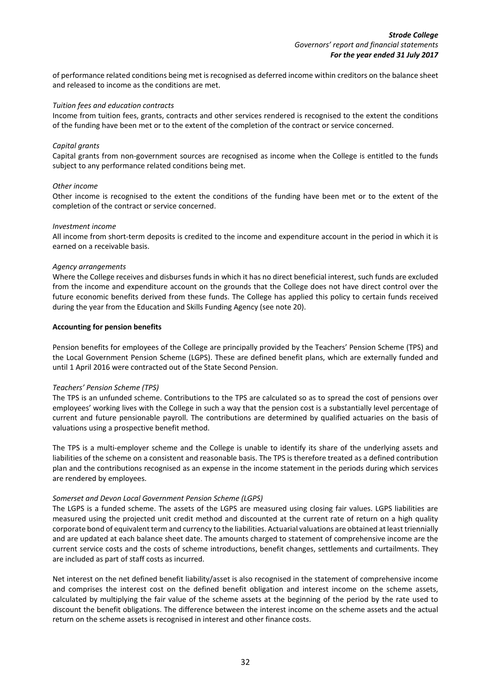of performance related conditions being met is recognised as deferred income within creditors on the balance sheet and released to income as the conditions are met.

### *Tuition fees and education contracts*

Income from tuition fees, grants, contracts and other services rendered is recognised to the extent the conditions of the funding have been met or to the extent of the completion of the contract or service concerned.

### *Capital grants*

Capital grants from non-government sources are recognised as income when the College is entitled to the funds subject to any performance related conditions being met.

### *Other income*

Other income is recognised to the extent the conditions of the funding have been met or to the extent of the completion of the contract or service concerned.

### *Investment income*

All income from short-term deposits is credited to the income and expenditure account in the period in which it is earned on a receivable basis.

### *Agency arrangements*

Where the College receives and disburses funds in which it has no direct beneficial interest, such funds are excluded from the income and expenditure account on the grounds that the College does not have direct control over the future economic benefits derived from these funds. The College has applied this policy to certain funds received during the year from the Education and Skills Funding Agency (see not[e 20\)](#page-47-0).

### **Accounting for pension benefits**

Pension benefits for employees of the College are principally provided by the Teachers' Pension Scheme (TPS) and the Local Government Pension Scheme (LGPS). These are defined benefit plans, which are externally funded and until 1 April 2016 were contracted out of the State Second Pension.

### *Teachers' Pension Scheme (TPS)*

The TPS is an unfunded scheme. Contributions to the TPS are calculated so as to spread the cost of pensions over employees' working lives with the College in such a way that the pension cost is a substantially level percentage of current and future pensionable payroll. The contributions are determined by qualified actuaries on the basis of valuations using a prospective benefit method.

The TPS is a multi-employer scheme and the College is unable to identify its share of the underlying assets and liabilities of the scheme on a consistent and reasonable basis. The TPS is therefore treated as a defined contribution plan and the contributions recognised as an expense in the income statement in the periods during which services are rendered by employees.

### *Somerset and Devon Local Government Pension Scheme (LGPS)*

The LGPS is a funded scheme. The assets of the LGPS are measured using closing fair values. LGPS liabilities are measured using the projected unit credit method and discounted at the current rate of return on a high quality corporate bond of equivalent term and currency to the liabilities. Actuarial valuations are obtained at least triennially and are updated at each balance sheet date. The amounts charged to statement of comprehensive income are the current service costs and the costs of scheme introductions, benefit changes, settlements and curtailments. They are included as part of staff costs as incurred.

Net interest on the net defined benefit liability/asset is also recognised in the statement of comprehensive income and comprises the interest cost on the defined benefit obligation and interest income on the scheme assets, calculated by multiplying the fair value of the scheme assets at the beginning of the period by the rate used to discount the benefit obligations. The difference between the interest income on the scheme assets and the actual return on the scheme assets is recognised in interest and other finance costs.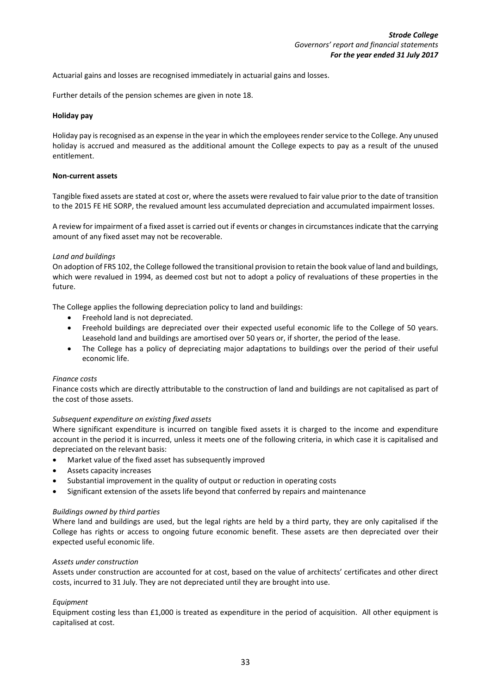Actuarial gains and losses are recognised immediately in actuarial gains and losses.

Further details of the pension schemes are given in note [18.](#page-42-0)

### **Holiday pay**

Holiday pay is recognised as an expense in the year in which the employees render service to the College. Any unused holiday is accrued and measured as the additional amount the College expects to pay as a result of the unused entitlement.

### **Non-current assets**

Tangible fixed assets are stated at cost or, where the assets were revalued to fair value prior to the date of transition to the 2015 FE HE SORP, the revalued amount less accumulated depreciation and accumulated impairment losses.

A review for impairment of a fixed asset is carried out if events or changes in circumstances indicate that the carrying amount of any fixed asset may not be recoverable.

### *Land and buildings*

On adoption of FRS 102, the College followed the transitional provision to retain the book value of land and buildings, which were revalued in 1994, as deemed cost but not to adopt a policy of revaluations of these properties in the future.

The College applies the following depreciation policy to land and buildings:

- Freehold land is not depreciated.
- Freehold buildings are depreciated over their expected useful economic life to the College of 50 years. Leasehold land and buildings are amortised over 50 years or, if shorter, the period of the lease.
- The College has a policy of depreciating major adaptations to buildings over the period of their useful economic life.

### *Finance costs*

Finance costs which are directly attributable to the construction of land and buildings are not capitalised as part of the cost of those assets.

### *Subsequent expenditure on existing fixed assets*

Where significant expenditure is incurred on tangible fixed assets it is charged to the income and expenditure account in the period it is incurred, unless it meets one of the following criteria, in which case it is capitalised and depreciated on the relevant basis:

- Market value of the fixed asset has subsequently improved
- Assets capacity increases
- Substantial improvement in the quality of output or reduction in operating costs
- Significant extension of the assets life beyond that conferred by repairs and maintenance

### *Buildings owned by third parties*

Where land and buildings are used, but the legal rights are held by a third party, they are only capitalised if the College has rights or access to ongoing future economic benefit. These assets are then depreciated over their expected useful economic life.

### *Assets under construction*

Assets under construction are accounted for at cost, based on the value of architects' certificates and other direct costs, incurred to 31 July. They are not depreciated until they are brought into use.

### *Equipment*

Equipment costing less than £1,000 is treated as expenditure in the period of acquisition. All other equipment is capitalised at cost.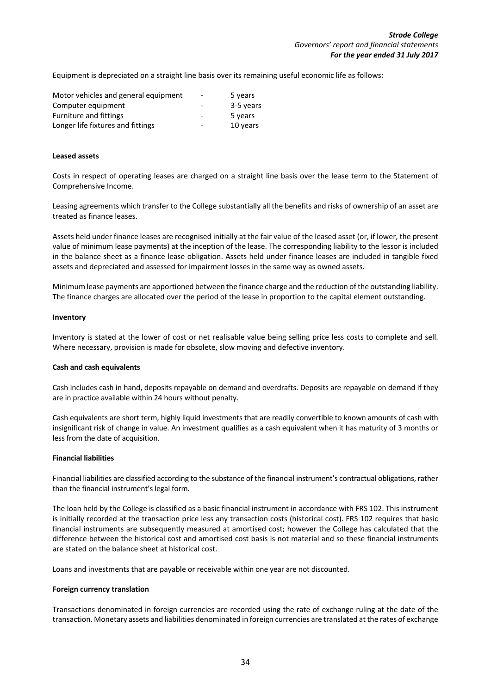Equipment is depreciated on a straight line basis over its remaining useful economic life as follows:

| Motor vehicles and general equipment | $\overline{\phantom{a}}$ | 5 years   |
|--------------------------------------|--------------------------|-----------|
| Computer equipment                   |                          | 3-5 years |
| Furniture and fittings               |                          | 5 years   |
| Longer life fixtures and fittings    | $\overline{\phantom{0}}$ | 10 years  |

### **Leased assets**

Costs in respect of operating leases are charged on a straight line basis over the lease term to the Statement of Comprehensive Income.

Leasing agreements which transfer to the College substantially all the benefits and risks of ownership of an asset are treated as finance leases.

Assets held under finance leases are recognised initially at the fair value of the leased asset (or, if lower, the present value of minimum lease payments) at the inception of the lease. The corresponding liability to the lessor is included in the balance sheet as a finance lease obligation. Assets held under finance leases are included in tangible fixed assets and depreciated and assessed for impairment losses in the same way as owned assets.

Minimum lease payments are apportioned between the finance charge and the reduction of the outstanding liability. The finance charges are allocated over the period of the lease in proportion to the capital element outstanding.

### **Inventory**

Inventory is stated at the lower of cost or net realisable value being selling price less costs to complete and sell. Where necessary, provision is made for obsolete, slow moving and defective inventory.

### **Cash and cash equivalents**

Cash includes cash in hand, deposits repayable on demand and overdrafts. Deposits are repayable on demand if they are in practice available within 24 hours without penalty.

Cash equivalents are short term, highly liquid investments that are readily convertible to known amounts of cash with insignificant risk of change in value. An investment qualifies as a cash equivalent when it has maturity of 3 months or less from the date of acquisition.

### **Financial liabilities**

Financial liabilities are classified according to the substance of the financial instrument's contractual obligations, rather than the financial instrument's legal form.

The loan held by the College is classified as a basic financial instrument in accordance with FRS 102. This instrument is initially recorded at the transaction price less any transaction costs (historical cost). FRS 102 requires that basic financial instruments are subsequently measured at amortised cost; however the College has calculated that the difference between the historical cost and amortised cost basis is not material and so these financial instruments are stated on the balance sheet at historical cost.

Loans and investments that are payable or receivable within one year are not discounted.

### **Foreign currency translation**

Transactions denominated in foreign currencies are recorded using the rate of exchange ruling at the date of the transaction. Monetary assets and liabilities denominated in foreign currencies are translated at the rates of exchange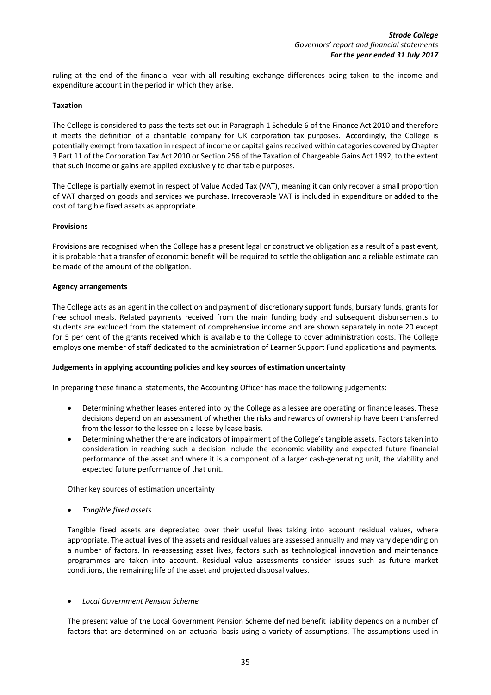ruling at the end of the financial year with all resulting exchange differences being taken to the income and expenditure account in the period in which they arise.

### **Taxation**

The College is considered to pass the tests set out in Paragraph 1 Schedule 6 of the Finance Act 2010 and therefore it meets the definition of a charitable company for UK corporation tax purposes. Accordingly, the College is potentially exempt from taxation in respect of income or capital gains received within categories covered by Chapter 3 Part 11 of the Corporation Tax Act 2010 or Section 256 of the Taxation of Chargeable Gains Act 1992, to the extent that such income or gains are applied exclusively to charitable purposes.

The College is partially exempt in respect of Value Added Tax (VAT), meaning it can only recover a small proportion of VAT charged on goods and services we purchase. Irrecoverable VAT is included in expenditure or added to the cost of tangible fixed assets as appropriate.

### **Provisions**

Provisions are recognised when the College has a present legal or constructive obligation as a result of a past event, it is probable that a transfer of economic benefit will be required to settle the obligation and a reliable estimate can be made of the amount of the obligation.

### **Agency arrangements**

The College acts as an agent in the collection and payment of discretionary support funds, bursary funds, grants for free school meals. Related payments received from the main funding body and subsequent disbursements to students are excluded from the statement of comprehensive income and are shown separately in note [20](#page-47-0) except for 5 per cent of the grants received which is available to the College to cover administration costs. The College employs one member of staff dedicated to the administration of Learner Support Fund applications and payments.

### **Judgements in applying accounting policies and key sources of estimation uncertainty**

In preparing these financial statements, the Accounting Officer has made the following judgements:

- Determining whether leases entered into by the College as a lessee are operating or finance leases. These decisions depend on an assessment of whether the risks and rewards of ownership have been transferred from the lessor to the lessee on a lease by lease basis.
- Determining whether there are indicators of impairment of the College's tangible assets. Factors taken into consideration in reaching such a decision include the economic viability and expected future financial performance of the asset and where it is a component of a larger cash-generating unit, the viability and expected future performance of that unit.

Other key sources of estimation uncertainty

• *Tangible fixed assets*

Tangible fixed assets are depreciated over their useful lives taking into account residual values, where appropriate. The actual lives of the assets and residual values are assessed annually and may vary depending on a number of factors. In re-assessing asset lives, factors such as technological innovation and maintenance programmes are taken into account. Residual value assessments consider issues such as future market conditions, the remaining life of the asset and projected disposal values.

### • *Local Government Pension Scheme*

The present value of the Local Government Pension Scheme defined benefit liability depends on a number of factors that are determined on an actuarial basis using a variety of assumptions. The assumptions used in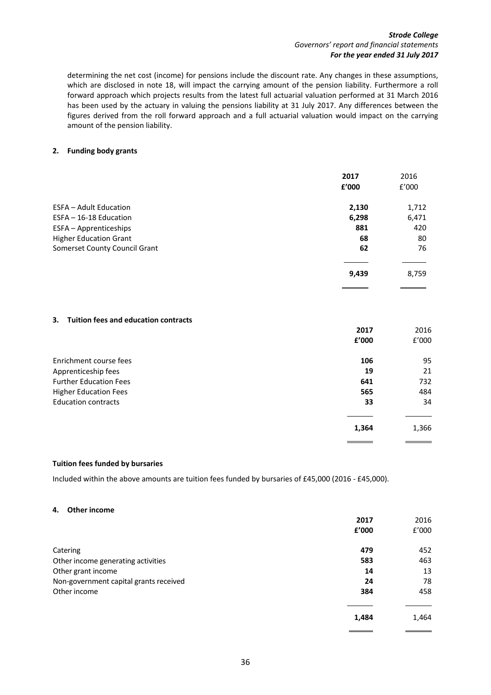### *Strode College Governors' report and financial statements For the year ended 31 July 2017*

determining the net cost (income) for pensions include the discount rate. Any changes in these assumptions, which are disclosed in note 18, will impact the carrying amount of the pension liability. Furthermore a roll forward approach which projects results from the latest full actuarial valuation performed at 31 March 2016 has been used by the actuary in valuing the pensions liability at 31 July 2017. Any differences between the figures derived from the roll forward approach and a full actuarial valuation would impact on the carrying amount of the pension liability.

### <span id="page-35-0"></span>**2. Funding body grants**

|                               | 2017<br>f'000 | 2016<br>f'000 |
|-------------------------------|---------------|---------------|
| <b>ESFA - Adult Education</b> | 2,130         | 1,712         |
| ESFA - 16-18 Education        | 6,298         | 6,471         |
| ESFA - Apprenticeships        | 881           | 420           |
| <b>Higher Education Grant</b> | 68            | 80            |
| Somerset County Council Grant | 62            | 76            |
|                               |               |               |
|                               | 9,439         | 8,759         |

### <span id="page-35-1"></span>**3. Tuition fees and education contracts**

|                               | 2017<br>£'000 | 2016<br>f'000 |
|-------------------------------|---------------|---------------|
| Enrichment course fees        | 106           | 95            |
| Apprenticeship fees           | 19            | 21            |
| <b>Further Education Fees</b> | 641           | 732           |
| <b>Higher Education Fees</b>  | 565           | 484           |
| <b>Education contracts</b>    | 33            | 34            |
|                               |               |               |
|                               | 1,364         | 1,366         |

### **Tuition fees funded by bursaries**

Included within the above amounts are tuition fees funded by bursaries of £45,000 (2016 - £45,000).

### <span id="page-35-2"></span>**4. Other income**

|                                        | 2017  | 2016  |
|----------------------------------------|-------|-------|
|                                        | £'000 | f'000 |
| Catering                               | 479   | 452   |
| Other income generating activities     | 583   | 463   |
| Other grant income                     | 14    | 13    |
| Non-government capital grants received | 24    | 78    |
| Other income                           | 384   | 458   |
|                                        | 1,484 | 1,464 |
|                                        |       |       |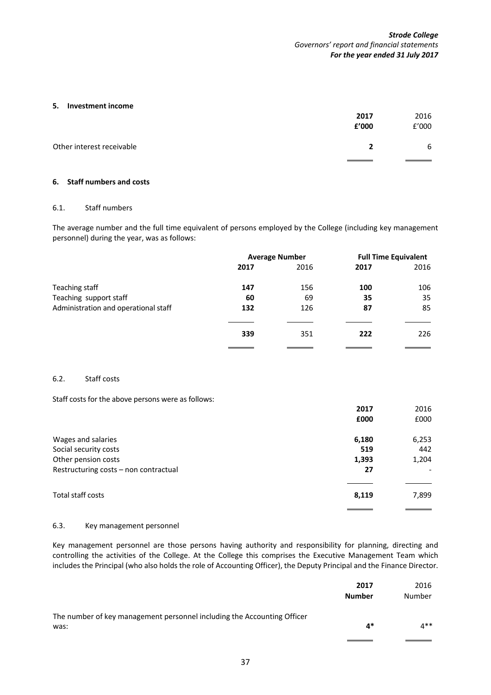### <span id="page-36-1"></span>**5. Investment income**

|                           | 2017<br>£'000  | 2016<br>f'000 |
|---------------------------|----------------|---------------|
| Other interest receivable | $\overline{2}$ | 6             |
|                           |                |               |

# <span id="page-36-0"></span>**6. Staff numbers and costs**

# 6.1. Staff numbers

The average number and the full time equivalent of persons employed by the College (including key management personnel) during the year, was as follows:

|                                      | <b>Average Number</b> |      | <b>Full Time Equivalent</b> |      |
|--------------------------------------|-----------------------|------|-----------------------------|------|
|                                      | 2017                  | 2016 | 2017                        | 2016 |
| Teaching staff                       | 147                   | 156  | 100                         | 106  |
| Teaching support staff               | 60                    | 69   | 35                          | 35   |
| Administration and operational staff | 132                   | 126  | 87                          | 85   |
|                                      |                       |      |                             |      |
|                                      | 339                   | 351  | 222                         | 226  |
|                                      |                       |      |                             |      |

# <span id="page-36-2"></span>6.2. Staff costs

Staff costs for the above persons were as follows:

|                                       | 2017  | 2016  |
|---------------------------------------|-------|-------|
|                                       | £000  | £000  |
| Wages and salaries                    | 6,180 | 6,253 |
| Social security costs                 | 519   | 442   |
| Other pension costs                   | 1,393 | 1,204 |
| Restructuring costs - non contractual | 27    |       |
| Total staff costs                     | 8,119 | 7,899 |

### 6.3. Key management personnel

Key management personnel are those persons having authority and responsibility for planning, directing and controlling the activities of the College. At the College this comprises the Executive Management Team which includes the Principal (who also holds the role of Accounting Officer), the Deputy Principal and the Finance Director.

|                                                                                 | 2017<br><b>Number</b> | 2016<br>Number |
|---------------------------------------------------------------------------------|-----------------------|----------------|
| The number of key management personnel including the Accounting Officer<br>was: | 4*                    | 4**            |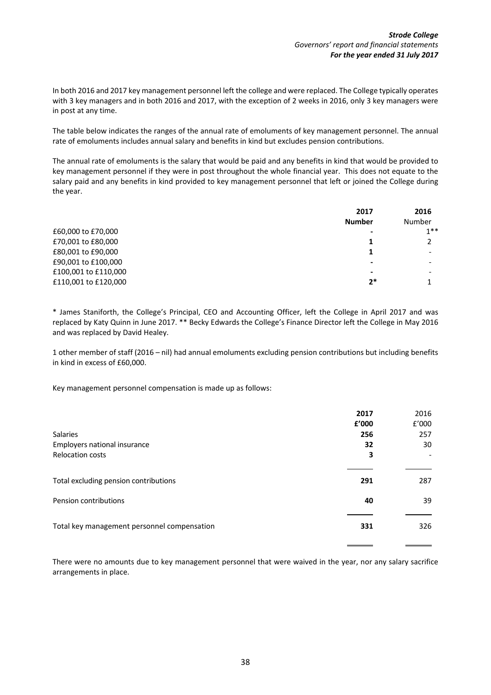In both 2016 and 2017 key management personnel left the college and were replaced. The College typically operates with 3 key managers and in both 2016 and 2017, with the exception of 2 weeks in 2016, only 3 key managers were in post at any time.

The table below indicates the ranges of the annual rate of emoluments of key management personnel. The annual rate of emoluments includes annual salary and benefits in kind but excludes pension contributions.

The annual rate of emoluments is the salary that would be paid and any benefits in kind that would be provided to key management personnel if they were in post throughout the whole financial year. This does not equate to the salary paid and any benefits in kind provided to key management personnel that left or joined the College during the year.

| 2017<br><b>Number</b> | 2016<br>Number |
|-----------------------|----------------|
|                       | $1**$          |
|                       |                |
|                       |                |
| ۰                     |                |
| -                     |                |
| 2*                    |                |
|                       |                |

\* James Staniforth, the College's Principal, CEO and Accounting Officer, left the College in April 2017 and was replaced by Katy Quinn in June 2017. \*\* Becky Edwards the College's Finance Director left the College in May 2016 and was replaced by David Healey.

1 other member of staff (2016 – nil) had annual emoluments excluding pension contributions but including benefits in kind in excess of £60,000.

Key management personnel compensation is made up as follows:

|                                             | 2017  | 2016  |
|---------------------------------------------|-------|-------|
|                                             | £'000 | f'000 |
| <b>Salaries</b>                             | 256   | 257   |
| Employers national insurance                | 32    | 30    |
| <b>Relocation costs</b>                     | 3     |       |
|                                             |       |       |
| Total excluding pension contributions       | 291   | 287   |
| Pension contributions                       | 40    | 39    |
| Total key management personnel compensation | 331   | 326   |
|                                             |       |       |

There were no amounts due to key management personnel that were waived in the year, nor any salary sacrifice arrangements in place.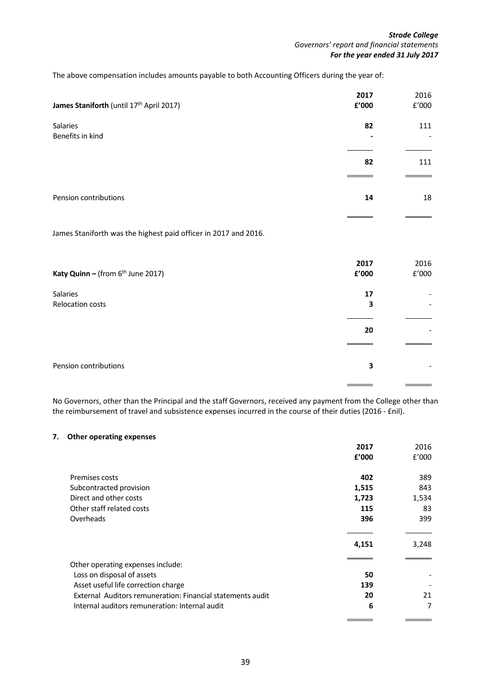$\equiv$ 

The above compensation includes amounts payable to both Accounting Officers during the year of:

| James Staniforth (until 17th April 2017) | 2017<br>£'000 | 2016<br>E'000 |
|------------------------------------------|---------------|---------------|
| Salaries<br>Benefits in kind             | 82<br>۰       | 111           |
|                                          | 82            | 111           |
| Pension contributions                    | 14            | 18            |
|                                          |               |               |

James Staniforth was the highest paid officer in 2017 and 2016.

| Katy Quinn - (from $6th$ June 2017) | 2017<br>£'000 | 2016<br>£'000 |
|-------------------------------------|---------------|---------------|
| Salaries                            | 17            |               |
| Relocation costs                    | З             |               |
|                                     | 20            |               |
|                                     |               |               |
| Pension contributions               | 3             |               |
|                                     |               |               |

No Governors, other than the Principal and the staff Governors, received any payment from the College other than the reimbursement of travel and subsistence expenses incurred in the course of their duties (2016 - £nil).

### <span id="page-38-0"></span>**7. Other operating expenses**

|                                                            | 2017  | 2016  |
|------------------------------------------------------------|-------|-------|
|                                                            | £'000 | f'000 |
|                                                            |       |       |
| Premises costs                                             | 402   | 389   |
| Subcontracted provision                                    | 1,515 | 843   |
| Direct and other costs                                     | 1,723 | 1,534 |
| Other staff related costs                                  | 115   | 83    |
| Overheads                                                  | 396   | 399   |
|                                                            |       |       |
|                                                            | 4,151 | 3,248 |
| Other operating expenses include:                          |       |       |
|                                                            | 50    |       |
| Loss on disposal of assets                                 |       |       |
| Asset useful life correction charge                        | 139   |       |
| External Auditors remuneration: Financial statements audit | 20    | 21    |
| Internal auditors remuneration: Internal audit             | 6     | 7     |
|                                                            |       |       |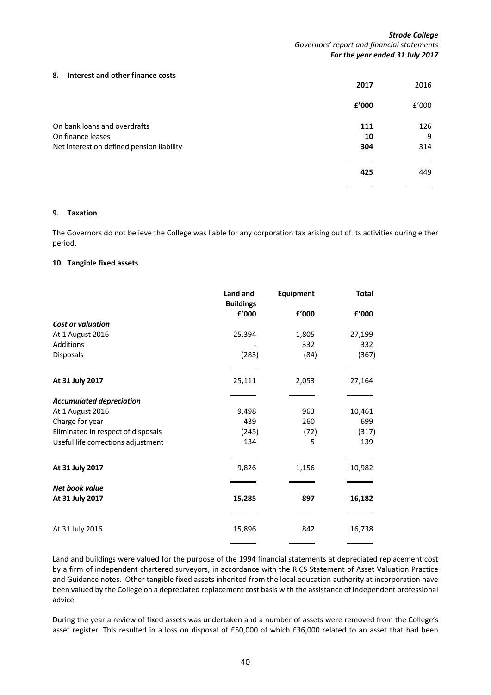### <span id="page-39-1"></span>**8. Interest and other finance costs**

|                                           | 2017  | 2016  |
|-------------------------------------------|-------|-------|
|                                           | £'000 | £'000 |
| On bank loans and overdrafts              | 111   | 126   |
| On finance leases                         | 10    | 9     |
| Net interest on defined pension liability | 304   | 314   |
|                                           | 425   | 449   |

### <span id="page-39-2"></span>**9. Taxation**

The Governors do not believe the College was liable for any corporation tax arising out of its activities during either period.

#### <span id="page-39-0"></span>**10. Tangible fixed assets**

|                                    | Land and<br><b>Buildings</b> | <b>Equipment</b> | <b>Total</b> |
|------------------------------------|------------------------------|------------------|--------------|
|                                    | £'000                        | £'000            | £'000        |
| <b>Cost or valuation</b>           |                              |                  |              |
| At 1 August 2016                   | 25,394                       | 1,805            | 27,199       |
| Additions                          |                              | 332              | 332          |
| Disposals                          | (283)                        | (84)             | (367)        |
| At 31 July 2017                    | 25,111                       | 2,053            | 27,164       |
| <b>Accumulated depreciation</b>    |                              |                  |              |
| At 1 August 2016                   | 9,498                        | 963              | 10,461       |
| Charge for year                    | 439                          | 260              | 699          |
| Eliminated in respect of disposals | (245)                        | (72)             | (317)        |
| Useful life corrections adjustment | 134                          | 5                | 139          |
| At 31 July 2017                    | 9,826                        | 1,156            | 10,982       |
| Net book value<br>At 31 July 2017  | 15,285                       | 897              | 16,182       |
|                                    |                              |                  |              |
| At 31 July 2016                    | 15,896                       | 842              | 16,738       |
|                                    |                              |                  |              |

Land and buildings were valued for the purpose of the 1994 financial statements at depreciated replacement cost by a firm of independent chartered surveyors, in accordance with the RICS Statement of Asset Valuation Practice and Guidance notes. Other tangible fixed assets inherited from the local education authority at incorporation have been valued by the College on a depreciated replacement cost basis with the assistance of independent professional advice.

During the year a review of fixed assets was undertaken and a number of assets were removed from the College's asset register. This resulted in a loss on disposal of £50,000 of which £36,000 related to an asset that had been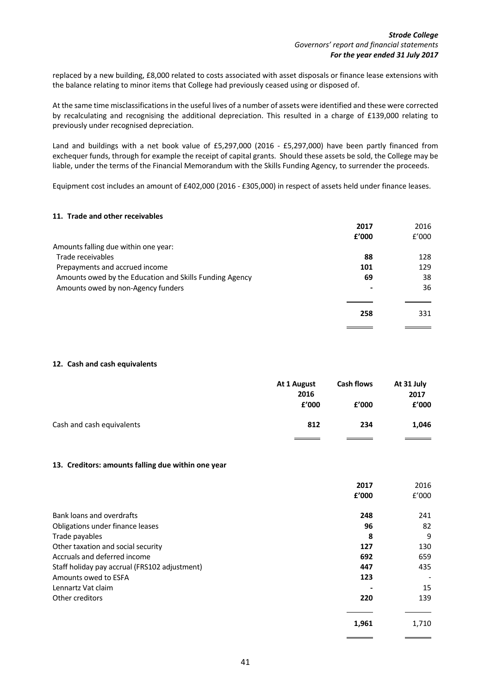replaced by a new building, £8,000 related to costs associated with asset disposals or finance lease extensions with the balance relating to minor items that College had previously ceased using or disposed of.

At the same time misclassifications in the useful lives of a number of assets were identified and these were corrected by recalculating and recognising the additional depreciation. This resulted in a charge of £139,000 relating to previously under recognised depreciation.

Land and buildings with a net book value of £5,297,000 (2016 - £5,297,000) have been partly financed from exchequer funds, through for example the receipt of capital grants. Should these assets be sold, the College may be liable, under the terms of the Financial Memorandum with the Skills Funding Agency, to surrender the proceeds.

Equipment cost includes an amount of £402,000 (2016 - £305,000) in respect of assets held under finance leases.

### **11. Trade and other receivables**

|                                                         | 2017           | 2016  |
|---------------------------------------------------------|----------------|-------|
|                                                         | £'000          | f'000 |
| Amounts falling due within one year:                    |                |       |
| Trade receivables                                       | 88             | 128   |
| Prepayments and accrued income                          | 101            | 129   |
| Amounts owed by the Education and Skills Funding Agency | 69             | 38    |
| Amounts owed by non-Agency funders                      | $\blacksquare$ | 36    |
|                                                         |                |       |
|                                                         | 258            | 331   |
|                                                         |                |       |

### <span id="page-40-0"></span>**12. Cash and cash equivalents**

|                           | At 1 August<br>2016<br>£'000 | <b>Cash flows</b><br>£'000 | At 31 July<br>2017<br>£'000 |
|---------------------------|------------------------------|----------------------------|-----------------------------|
| Cash and cash equivalents | 812                          | 234                        | 1,046                       |
|                           |                              |                            |                             |

### <span id="page-40-1"></span>**13. Creditors: amounts falling due within one year**

|                                               | 2017  | 2016  |
|-----------------------------------------------|-------|-------|
|                                               | £'000 | E'000 |
| Bank loans and overdrafts                     | 248   | 241   |
| Obligations under finance leases              | 96    | 82    |
| Trade payables                                | 8     | 9     |
| Other taxation and social security            | 127   | 130   |
| Accruals and deferred income                  | 692   | 659   |
| Staff holiday pay accrual (FRS102 adjustment) | 447   | 435   |
| Amounts owed to ESFA                          | 123   |       |
| Lennartz Vat claim                            |       | 15    |
| Other creditors                               | 220   | 139   |
|                                               | 1,961 | 1,710 |
|                                               |       |       |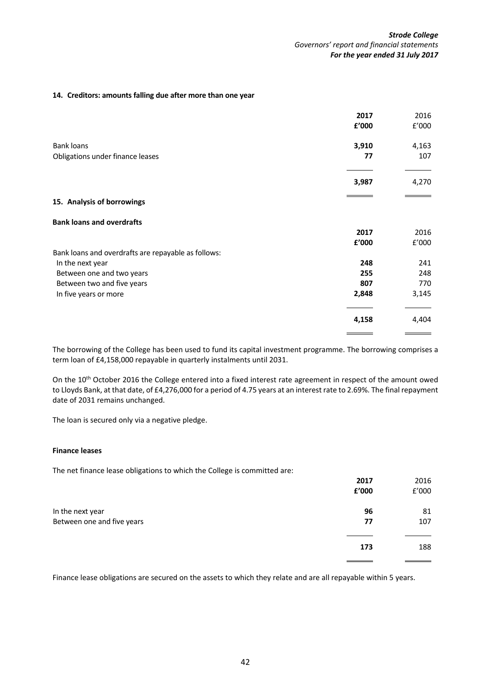### <span id="page-41-0"></span>**14. Creditors: amounts falling due after more than one year**

|                                                     | 2017  | 2016  |
|-----------------------------------------------------|-------|-------|
|                                                     | £'000 | f'000 |
| <b>Bank loans</b>                                   | 3,910 | 4,163 |
| Obligations under finance leases                    | 77    | 107   |
|                                                     | 3,987 | 4,270 |
| 15. Analysis of borrowings                          |       |       |
| <b>Bank loans and overdrafts</b>                    |       |       |
|                                                     | 2017  | 2016  |
|                                                     | £'000 | f'000 |
| Bank loans and overdrafts are repayable as follows: |       |       |
| In the next year                                    | 248   | 241   |
| Between one and two years                           | 255   | 248   |
| Between two and five years                          | 807   | 770   |
| In five years or more                               | 2,848 | 3,145 |
|                                                     | 4,158 | 4,404 |
|                                                     |       |       |

The borrowing of the College has been used to fund its capital investment programme. The borrowing comprises a term loan of £4,158,000 repayable in quarterly instalments until 2031.

On the 10<sup>th</sup> October 2016 the College entered into a fixed interest rate agreement in respect of the amount owed to Lloyds Bank, at that date, of £4,276,000 for a period of 4.75 years at an interest rate to 2.69%. The final repayment date of 2031 remains unchanged.

The loan is secured only via a negative pledge.

### **Finance leases**

The net finance lease obligations to which the College is committed are:

|                            | 2017  | 2016  |
|----------------------------|-------|-------|
|                            | £'000 | f'000 |
| In the next year           | 96    | 81    |
| Between one and five years | 77    | 107   |
|                            |       |       |
|                            | 173   | 188   |
|                            |       |       |

Finance lease obligations are secured on the assets to which they relate and are all repayable within 5 years.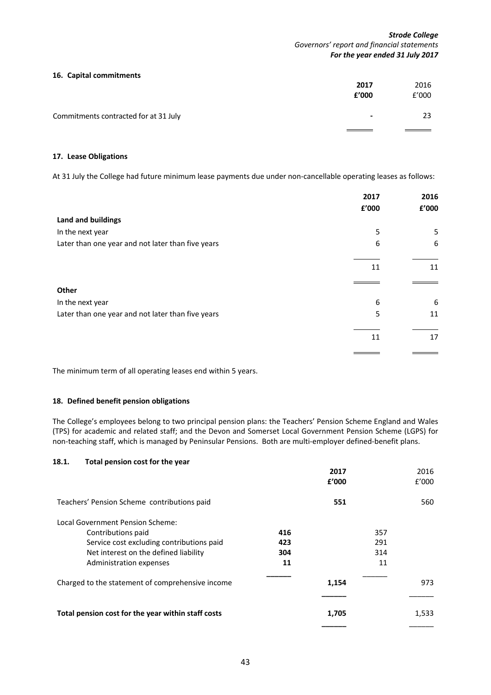### **16. Capital commitments**

|                                       | 2017<br>£'000  | 2016<br>f'000 |
|---------------------------------------|----------------|---------------|
| Commitments contracted for at 31 July | $\blacksquare$ | 23            |
|                                       |                |               |

### **17. Lease Obligations**

At 31 July the College had future minimum lease payments due under non-cancellable operating leases as follows:

|                                                   | 2017  | 2016  |
|---------------------------------------------------|-------|-------|
|                                                   | £'000 | £'000 |
| <b>Land and buildings</b>                         |       |       |
| In the next year                                  | 5     | 5     |
| Later than one year and not later than five years | 6     | 6     |
|                                                   | 11    | 11    |
| Other                                             |       |       |
| In the next year                                  | 6     | 6     |
| Later than one year and not later than five years | 5     | 11    |
|                                                   | 11    | 17    |
|                                                   |       |       |

The minimum term of all operating leases end within 5 years.

# <span id="page-42-0"></span>**18. Defined benefit pension obligations**

The College's employees belong to two principal pension plans: the Teachers' Pension Scheme England and Wales (TPS) for academic and related staff; and the Devon and Somerset Local Government Pension Scheme (LGPS) for non-teaching staff, which is managed by Peninsular Pensions. Both are multi-employer defined-benefit plans.

### **18.1. Total pension cost for the year**

|                                                    |     | 2017<br>f'000 |     | 2016<br>f'000 |
|----------------------------------------------------|-----|---------------|-----|---------------|
| Teachers' Pension Scheme contributions paid        |     | 551           |     | 560           |
| Local Government Pension Scheme:                   |     |               |     |               |
| Contributions paid                                 | 416 |               | 357 |               |
| Service cost excluding contributions paid          | 423 |               | 291 |               |
| Net interest on the defined liability              | 304 |               | 314 |               |
| Administration expenses                            | 11  |               | 11  |               |
| Charged to the statement of comprehensive income   |     | 1,154         |     | 973           |
| Total pension cost for the year within staff costs |     | 1,705         |     | 1,533         |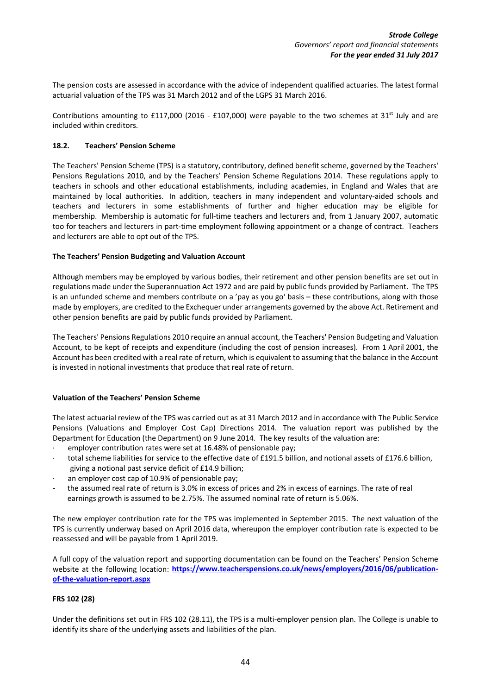The pension costs are assessed in accordance with the advice of independent qualified actuaries. The latest formal actuarial valuation of the TPS was 31 March 2012 and of the LGPS 31 March 2016.

Contributions amounting to £117,000 (2016 - £107,000) were payable to the two schemes at 31<sup>st</sup> July and are included within creditors.

### **18.2. Teachers' Pension Scheme**

The Teachers' Pension Scheme (TPS) is a statutory, contributory, defined benefit scheme, governed by the Teachers' Pensions Regulations 2010, and by the Teachers' Pension Scheme Regulations 2014. These regulations apply to teachers in schools and other educational establishments, including academies, in England and Wales that are maintained by local authorities. In addition, teachers in many independent and voluntary-aided schools and teachers and lecturers in some establishments of further and higher education may be eligible for membership. Membership is automatic for full-time teachers and lecturers and, from 1 January 2007, automatic too for teachers and lecturers in part-time employment following appointment or a change of contract. Teachers and lecturers are able to opt out of the TPS.

# **The Teachers' Pension Budgeting and Valuation Account**

Although members may be employed by various bodies, their retirement and other pension benefits are set out in regulations made under the Superannuation Act 1972 and are paid by public funds provided by Parliament. The TPS is an unfunded scheme and members contribute on a 'pay as you go' basis – these contributions, along with those made by employers, are credited to the Exchequer under arrangements governed by the above Act. Retirement and other pension benefits are paid by public funds provided by Parliament.

The Teachers' Pensions Regulations 2010 require an annual account, the Teachers' Pension Budgeting and Valuation Account, to be kept of receipts and expenditure (including the cost of pension increases). From 1 April 2001, the Account has been credited with a real rate of return, which is equivalent to assuming that the balance in the Account is invested in notional investments that produce that real rate of return.

# **Valuation of the Teachers' Pension Scheme**

The latest actuarial review of the TPS was carried out as at 31 March 2012 and in accordance with The Public Service Pensions (Valuations and Employer Cost Cap) Directions 2014. The valuation report was published by the Department for Education (the Department) on 9 June 2014. The key results of the valuation are:

- employer contribution rates were set at 16.48% of pensionable pay;
- total scheme liabilities for service to the effective date of £191.5 billion, and notional assets of £176.6 billion, giving a notional past service deficit of £14.9 billion;
- an employer cost cap of 10.9% of pensionable pay;
- the assumed real rate of return is 3.0% in excess of prices and 2% in excess of earnings. The rate of real earnings growth is assumed to be 2.75%. The assumed nominal rate of return is 5.06%.

The new employer contribution rate for the TPS was implemented in September 2015. The next valuation of the TPS is currently underway based on April 2016 data, whereupon the employer contribution rate is expected to be reassessed and will be payable from 1 April 2019.

A full copy of the valuation report and supporting documentation can be found on the Teachers' Pension Scheme website at the following location: [https://www.teacherspensions.co.uk/news/employers/2016/06/publication](https://www.teacherspensions.co.uk/news/employers/2014/06/publication-of-the-valuation-report.aspx)**[of-the-valuation-report.aspx](https://www.teacherspensions.co.uk/news/employers/2014/06/publication-of-the-valuation-report.aspx)** 

# **FRS 102 (28)**

Under the definitions set out in FRS 102 (28.11), the TPS is a multi-employer pension plan. The College is unable to identify its share of the underlying assets and liabilities of the plan.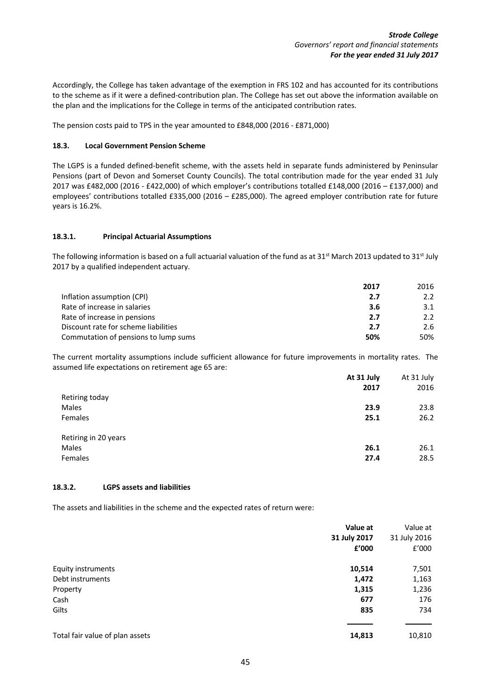Accordingly, the College has taken advantage of the exemption in FRS 102 and has accounted for its contributions to the scheme as if it were a defined-contribution plan. The College has set out above the information available on the plan and the implications for the College in terms of the anticipated contribution rates.

The pension costs paid to TPS in the year amounted to £848,000 (2016 - £871,000)

### **18.3. Local Government Pension Scheme**

The LGPS is a funded defined-benefit scheme, with the assets held in separate funds administered by Peninsular Pensions (part of Devon and Somerset County Councils). The total contribution made for the year ended 31 July 2017 was £482,000 (2016 - £422,000) of which employer's contributions totalled £148,000 (2016 – £137,000) and employees' contributions totalled £335,000 (2016 – £285,000). The agreed employer contribution rate for future years is 16.2%.

# **18.3.1. Principal Actuarial Assumptions**

The following information is based on a full actuarial valuation of the fund as at 31<sup>st</sup> March 2013 updated to 31<sup>st</sup> July 2017 by a qualified independent actuary.

|                                      | 2017 | 2016          |
|--------------------------------------|------|---------------|
| Inflation assumption (CPI)           | 2.7  | 2.2           |
| Rate of increase in salaries         | 3.6  | 3.1           |
| Rate of increase in pensions         | 2.7  | $2.2^{\circ}$ |
| Discount rate for scheme liabilities | 2.7  | 2.6           |
| Commutation of pensions to lump sums | 50%  | 50%           |

The current mortality assumptions include sufficient allowance for future improvements in mortality rates. The assumed life expectations on retirement age 65 are:

|                      | At 31 July | At 31 July |
|----------------------|------------|------------|
|                      | 2017       | 2016       |
| Retiring today       |            |            |
| Males                | 23.9       | 23.8       |
| Females              | 25.1       | 26.2       |
| Retiring in 20 years |            |            |
| Males                | 26.1       | 26.1       |
| Females              | 27.4       | 28.5       |

### **18.3.2. LGPS assets and liabilities**

The assets and liabilities in the scheme and the expected rates of return were:

|                                 | Value at     | Value at     |
|---------------------------------|--------------|--------------|
|                                 | 31 July 2017 | 31 July 2016 |
|                                 | £'000        | f'000        |
| <b>Equity instruments</b>       | 10,514       | 7,501        |
| Debt instruments                | 1,472        | 1,163        |
| Property                        | 1,315        | 1,236        |
| Cash                            | 677          | 176          |
| Gilts                           | 835          | 734          |
|                                 |              |              |
| Total fair value of plan assets | 14,813       | 10,810       |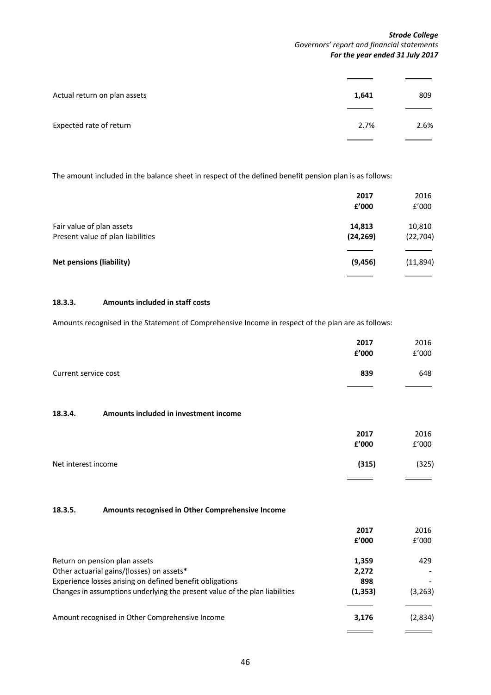### *Strode College Governors' report and financial statements For the year ended 31 July 2017*

 $\equiv$ 

| Actual return on plan assets | 1,641 | 809  |
|------------------------------|-------|------|
| Expected rate of return      | 2.7%  | 2.6% |

The amount included in the balance sheet in respect of the defined benefit pension plan is as follows:

|                                                                | 2017<br>£'000       | 2016<br>£'000       |
|----------------------------------------------------------------|---------------------|---------------------|
| Fair value of plan assets<br>Present value of plan liabilities | 14,813<br>(24, 269) | 10,810<br>(22, 704) |
| <b>Net pensions (liability)</b>                                | (9, 456)            | (11,894)            |

# **18.3.3. Amounts included in staff costs**

Amounts recognised in the Statement of Comprehensive Income in respect of the plan are as follows:

|                                                             | 2017<br>£'000 | 2016<br>£'000 |
|-------------------------------------------------------------|---------------|---------------|
| Current service cost                                        | 839           | 648           |
| 18.3.4.<br>Amounts included in investment income            |               |               |
|                                                             | 2017<br>£'000 | 2016<br>£'000 |
| Net interest income                                         | (315)         | (325)         |
| Amounts recognised in Other Comprehensive Income<br>18.3.5. |               |               |
|                                                             | 2017<br>£'000 | 2016<br>f'000 |

<span id="page-45-0"></span>

| Return on pension plan assets                                               | 1,359    | 429      |
|-----------------------------------------------------------------------------|----------|----------|
| Other actuarial gains/(losses) on assets*                                   | 2,272    |          |
| Experience losses arising on defined benefit obligations                    | 898      |          |
| Changes in assumptions underlying the present value of the plan liabilities | (1, 353) | (3, 263) |
|                                                                             |          |          |
| Amount recognised in Other Comprehensive Income                             | 3,176    | (2,834)  |
|                                                                             |          |          |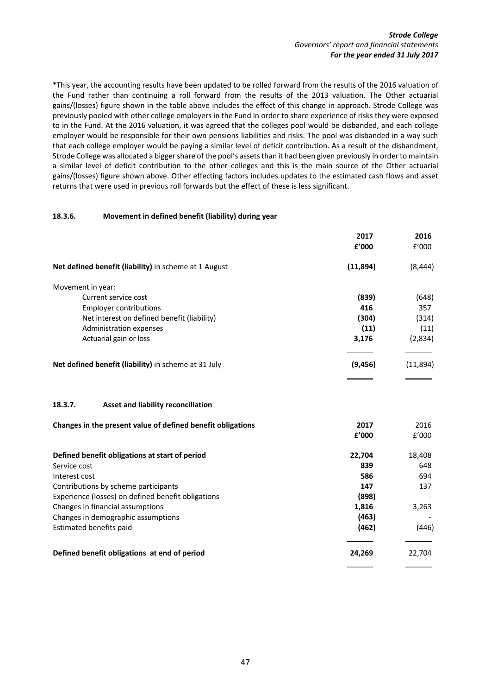\*This year, the accounting results have been updated to be rolled forward from the results of the 2016 valuation of the Fund rather than continuing a roll forward from the results of the 2013 valuation. The Other actuarial gains/(losses) figure shown in the table above includes the effect of this change in approach. Strode College was previously pooled with other college employers in the Fund in order to share experience of risks they were exposed to in the Fund. At the 2016 valuation, it was agreed that the colleges pool would be disbanded, and each college employer would be responsible for their own pensions liabilities and risks. The pool was disbanded in a way such that each college employer would be paying a similar level of deficit contribution. As a result of the disbandment, Strode College was allocated a bigger share of the pool's assets than it had been given previously in order to maintain a similar level of deficit contribution to the other colleges and this is the main source of the Other actuarial gains/(losses) figure shown above. Other effecting factors includes updates to the estimated cash flows and asset returns that were used in previous roll forwards but the effect of these is less significant.

# <span id="page-46-0"></span>**18.3.6. Movement in defined benefit (liability) during year**

|                                                             | 2017     | 2016     |
|-------------------------------------------------------------|----------|----------|
|                                                             | f'000    | f'000    |
| Net defined benefit (liability) in scheme at 1 August       | (11,894) | (8, 444) |
| Movement in year:                                           |          |          |
| Current service cost                                        | (839)    | (648)    |
| <b>Employer contributions</b>                               | 416      | 357      |
| Net interest on defined benefit (liability)                 | (304)    | (314)    |
| Administration expenses                                     | (11)     | (11)     |
| Actuarial gain or loss                                      | 3,176    | (2,834)  |
| Net defined benefit (liability) in scheme at 31 July        | (9, 456) | (11,894) |
|                                                             |          |          |
| 18.3.7.<br>Asset and liability reconciliation               |          |          |
| Changes in the present value of defined benefit obligations | 2017     | 2016     |
|                                                             | £'000    | f'000    |
| Defined benefit obligations at start of period              | 22,704   | 18,408   |
| Service cost                                                | 839      | 648      |
| Interest cost                                               | 586      | 694      |
| Contributions by scheme participants                        | 147      | 137      |
| Experience (losses) on defined benefit obligations          | (898)    |          |
| Changes in financial assumptions                            | 1,816    | 3,263    |
| Changes in demographic assumptions                          | (463)    |          |
| Estimated benefits paid                                     | (462)    | (446)    |
| Defined benefit obligations at end of period                | 24,269   | 22,704   |
|                                                             |          |          |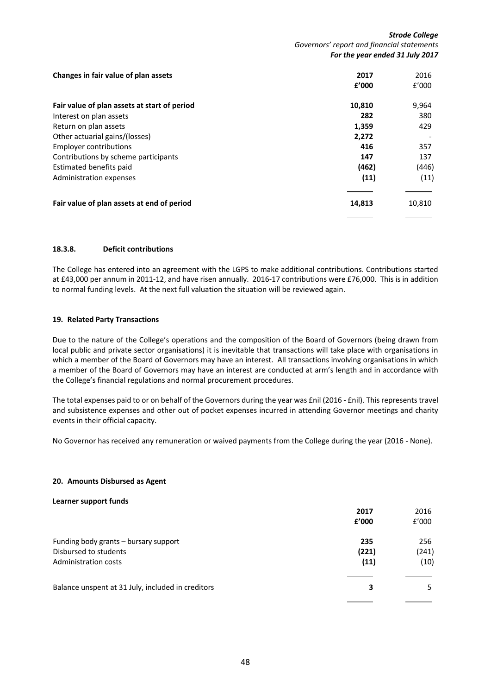*Strode College Governors' report and financial statements For the year ended 31 July 2017*

| Changes in fair value of plan assets         | 2017   | 2016   |
|----------------------------------------------|--------|--------|
|                                              | f'000  | f'000  |
| Fair value of plan assets at start of period | 10,810 | 9,964  |
| Interest on plan assets                      | 282    | 380    |
| Return on plan assets                        | 1,359  | 429    |
| Other actuarial gains/(losses)               | 2,272  |        |
| <b>Employer contributions</b>                | 416    | 357    |
| Contributions by scheme participants         | 147    | 137    |
| Estimated benefits paid                      | (462)  | (446)  |
| Administration expenses                      | (11)   | (11)   |
| Fair value of plan assets at end of period   | 14,813 | 10,810 |
|                                              |        |        |

### **18.3.8. Deficit contributions**

The College has entered into an agreement with the LGPS to make additional contributions. Contributions started at £43,000 per annum in 2011-12, and have risen annually. 2016-17 contributions were £76,000. This is in addition to normal funding levels. At the next full valuation the situation will be reviewed again.

### **19. Related Party Transactions**

Due to the nature of the College's operations and the composition of the Board of Governors (being drawn from local public and private sector organisations) it is inevitable that transactions will take place with organisations in which a member of the Board of Governors may have an interest. All transactions involving organisations in which a member of the Board of Governors may have an interest are conducted at arm's length and in accordance with the College's financial regulations and normal procurement procedures.

The total expenses paid to or on behalf of the Governors during the year was £nil (2016 - £nil). This represents travel and subsistence expenses and other out of pocket expenses incurred in attending Governor meetings and charity events in their official capacity.

No Governor has received any remuneration or waived payments from the College during the year (2016 - None).

### <span id="page-47-0"></span>**20. Amounts Disbursed as Agent**

### **Learner support funds**

|                                                                                        | 2017<br>£'000        | 2016<br>f'000        |
|----------------------------------------------------------------------------------------|----------------------|----------------------|
| Funding body grants – bursary support<br>Disbursed to students<br>Administration costs | 235<br>(221)<br>(11) | 256<br>(241)<br>(10) |
| Balance unspent at 31 July, included in creditors                                      | 3                    | 5.                   |